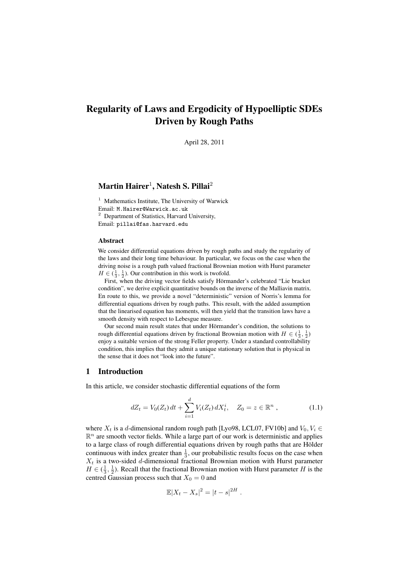# Regularity of Laws and Ergodicity of Hypoelliptic SDEs Driven by Rough Paths

April 28, 2011

## $\mathbf{Martin\, Hainer}^{1}, \mathbf{Natesh\, S. \, Pillai}^{2}$

 $1$  Mathematics Institute, The University of Warwick Email: M.Hairer@Warwick.ac.uk <sup>2</sup> Department of Statistics, Harvard University, Email: pillai@fas.harvard.edu

#### Abstract

We consider differential equations driven by rough paths and study the regularity of the laws and their long time behaviour. In particular, we focus on the case when the driving noise is a rough path valued fractional Brownian motion with Hurst parameter  $H \in (\frac{1}{3}, \frac{1}{2})$ . Our contribution in this work is twofold.

First, when the driving vector fields satisfy Hörmander's celebrated "Lie bracket condition", we derive explicit quantitative bounds on the inverse of the Malliavin matrix. En route to this, we provide a novel "deterministic" version of Norris's lemma for differential equations driven by rough paths. This result, with the added assumption that the linearised equation has moments, will then yield that the transition laws have a smooth density with respect to Lebesgue measure.

Our second main result states that under Hörmander's condition, the solutions to rough differential equations driven by fractional Brownian motion with  $H \in (\frac{1}{3}, \frac{1}{2})$ enjoy a suitable version of the strong Feller property. Under a standard controllability condition, this implies that they admit a unique stationary solution that is physical in the sense that it does not "look into the future".

## 1 Introduction

In this article, we consider stochastic differential equations of the form

$$
dZ_t = V_0(Z_t) dt + \sum_{i=1}^d V_i(Z_t) dX_t^i, \quad Z_0 = z \in \mathbb{R}^n ,
$$
 (1.1)

where  $X_t$  is a d-dimensional random rough path [Lyo98, LCL07, FV10b] and  $V_0, V_i \in$  $\mathbb{R}^n$  are smooth vector fields. While a large part of our work is deterministic and applies to a large class of rough differential equations driven by rough paths that are Hölder continuous with index greater than  $\frac{1}{3}$ , our probabilistic results focus on the case when  $X_t$  is a two-sided d-dimensional fractional Brownian motion with Hurst parameter  $H \in (\frac{1}{3}, \frac{1}{2})$ . Recall that the fractional Brownian motion with Hurst parameter H is the centred Gaussian process such that  $X_0 = 0$  and

$$
\mathbb{E}|X_t - X_s|^2 = |t - s|^{2H}.
$$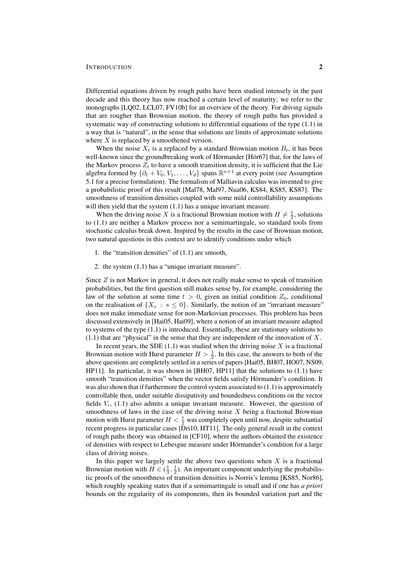#### **INTRODUCTION** 2

Differential equations driven by rough paths have been studied intensely in the past decade and this theory has now reached a certain level of maturity; we refer to the monographs [LQ02, LCL07, FV10b] for an overview of the theory. For driving signals that are rougher than Brownian motion, the theory of rough paths has provided a systematic way of constructing solutions to differential equations of the type (1.1) in a way that is "natural", in the sense that solutions are limits of approximate solutions where X is replaced by a smoothened version.

When the noise  $X_t$  is a replaced by a standard Brownian motion  $B_t$ , it has been well-known since the groundbreaking work of Hörmander [Hör67] that, for the laws of the Markov process  $Z_t$  to have a smooth transition density, it is sufficient that the Lie algebra formed by  $\{\partial_t + V_0, V_1, \dots, V_d\}$  spans  $\mathbb{R}^{n+1}$  at every point (see Assumption 5.1 for a precise formulation). The formalism of Malliavin calculus was invented to give a probabilistic proof of this result [Mal78, Mal97, Nua06, KS84, KS85, KS87]. The smoothness of transition densities coupled with some mild controllability assumptions will then yield that the system  $(1.1)$  has a unique invariant measure.

When the driving noise X is a fractional Brownian motion with  $H \neq \frac{1}{2}$ , solutions to (1.1) are neither a Markov process nor a semimartingale, so standard tools from stochastic calculus break down. Inspired by the results in the case of Brownian motion, two natural questions in this context are to identify conditions under which

- 1. the "transition densities" of (1.1) are smooth,
- 2. the system (1.1) has a "unique invariant measure".

Since  $Z$  is not Markov in general, it does not really make sense to speak of transition probabilities, but the first question still makes sense by, for example, considering the law of the solution at some time  $t > 0$ , given an initial condition  $Z_0$ , conditional on the realisation of  $\{X_s : s \leq 0\}$ . Similarly, the notion of an "invariant measure" does not make immediate sense for non-Markovian processes. This problem has been discussed extensively in [Hai05, Hai09], where a notion of an invariant measure adapted to systems of the type (1.1) is introduced. Essentially, these are stationary solutions to  $(1.1)$  that are "physical" in the sense that they are independent of the innovation of X.

In recent years, the SDE  $(1.1)$  was studied when the driving noise X is a fractional Brownian motion with Hurst parameter  $H > \frac{1}{2}$ . In this case, the answers to both of the above questions are completely settled in a series of papers [Hai05, BH07, HO07, NS09, HP11]. In particular, it was shown in [BH07, HP11] that the solutions to (1.1) have smooth "transition densities" when the vector fields satisfy Hörmander's condition. It was also shown that if furthermore the control system associated to  $(1.1)$  is approximately controllable then, under suitable dissipativity and boundedness conditions on the vector fields  $V_i$ , (1.1) also admits a unique invariant measure. However, the question of smoothness of laws in the case of the driving noise  $X$  being a fractional Brownian motion with Hurst parameter  $H < \frac{1}{2}$  was completely open until now, despite substantial recent progress in particular cases [Dri10, HT11]. The only general result in the context of rough paths theory was obtained in [CF10], where the authors obtained the existence of densities with respect to Lebesgue measure under Hörmander's condition for a large class of driving noises.

In this paper we largely settle the above two questions when  $X$  is a fractional Brownian motion with  $H \in (\frac{1}{3}, \frac{1}{2})$ . An important component underlying the probabilistic proofs of the smoothness of transition densities is Norris's lemma [KS85, Nor86], which roughly speaking states that if a semimartingale is small and if one has *a priori* bounds on the regularity of its components, then its bounded variation part and the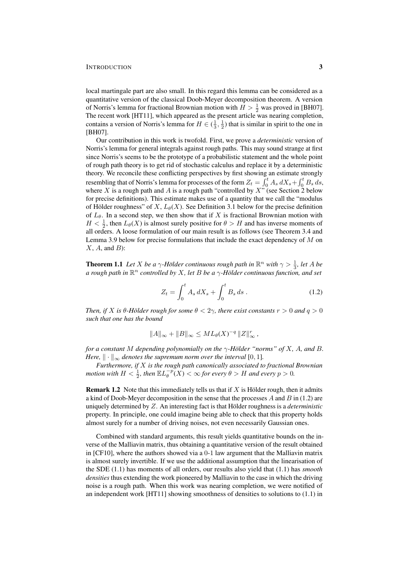#### INTRODUCTION 3

local martingale part are also small. In this regard this lemma can be considered as a quantitative version of the classical Doob-Meyer decomposition theorem. A version of Norris's lemma for fractional Brownian motion with  $H > \frac{1}{2}$  was proved in [BH07]. The recent work [HT11], which appeared as the present article was nearing completion, contains a version of Norris's lemma for  $H \in (\frac{1}{3}, \frac{1}{2})$  that is similar in spirit to the one in [BH07].

Our contribution in this work is twofold. First, we prove a *deterministic* version of Norris's lemma for general integrals against rough paths. This may sound strange at first since Norris's seems to be the prototype of a probabilistic statement and the whole point of rough path theory is to get rid of stochastic calculus and replace it by a deterministic theory. We reconcile these conflicting perspectives by first showing an estimate strongly resembling that of Norris's lemma for processes of the form  $Z_t = \int_0^t A_s dX_s + \int_0^t B_s ds$ , where X is a rough path and A is a rough path "controlled by  $X$ " (see Section 2 below for precise definitions). This estimate makes use of a quantity that we call the "modulus of Hölder roughness" of X,  $L_{\theta}(X)$ . See Definition 3.1 below for the precise definition of  $L_{\theta}$ . In a second step, we then show that if X is fractional Brownian motion with  $H < \frac{1}{2}$ , then  $L_{\theta}(X)$  is almost surely positive for  $\theta > H$  and has inverse moments of all orders. A loose formulation of our main result is as follows (see Theorem 3.4 and Lemma 3.9 below for precise formulations that include the exact dependency of  $M$  on  $X, A$ , and  $B$ ):

**Theorem 1.1** Let X be a  $\gamma$ -Hölder continuous rough path in  $\mathbb{R}^n$  with  $\gamma > \frac{1}{3}$ , let A be a rough path in  $\mathbb{R}^n$  controlled by X, let B be a  $\gamma$ -Hölder continuous function, and set

$$
Z_t = \int_0^t A_s \, dX_s + \int_0^t B_s \, ds \,. \tag{1.2}
$$

*Then, if* X *is*  $\theta$ -Hölder rough for some  $\theta$  < 2 $\gamma$ , there exist constants  $r > 0$  and  $q > 0$ *such that one has the bound*

$$
||A||_{\infty} + ||B||_{\infty} \leq ML_{\theta}(X)^{-q} ||Z||_{\infty}^{r},
$$

*for a constant* M *depending polynomially on the*  $\gamma$ -Hölder "norms" of X, A, and B. *Here,*  $\|\cdot\|_{\infty}$  *denotes the supremum norm over the interval* [0, 1]*.* 

*Furthermore, if* X *is the rough path canonically associated to fractional Brownian motion with*  $H < \frac{1}{2}$ , then  $\mathbb{E} L_{\theta}^{-p}(X) < \infty$  for every  $\theta > H$  and every  $p > 0$ .

**Remark 1.2** Note that this immediately tells us that if X is Hölder rough, then it admits a kind of Doob-Meyer decomposition in the sense that the processes  $A$  and  $B$  in (1.2) are uniquely determined by  $Z$ . An interesting fact is that Hölder roughness is a *deterministic* property. In principle, one could imagine being able to check that this property holds almost surely for a number of driving noises, not even necessarily Gaussian ones.

Combined with standard arguments, this result yields quantitative bounds on the inverse of the Malliavin matrix, thus obtaining a quantitative version of the result obtained in [CF10], where the authors showed via a 0-1 law argument that the Malliavin matrix is almost surely invertible. If we use the additional assumption that the linearisation of the SDE (1.1) has moments of all orders, our results also yield that (1.1) has *smooth densities* thus extending the work pioneered by Malliavin to the case in which the driving noise is a rough path. When this work was nearing completion, we were notified of an independent work [HT11] showing smoothness of densities to solutions to (1.1) in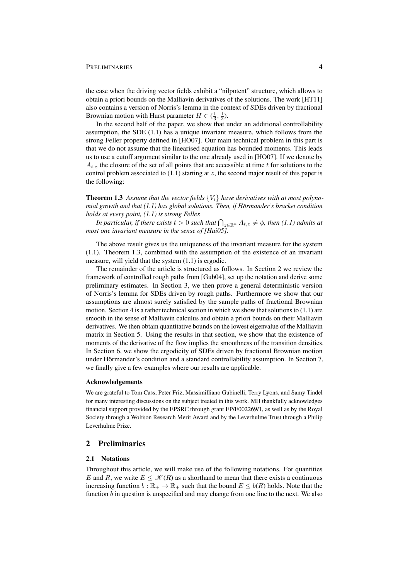#### PRELIMINARIES 4

the case when the driving vector fields exhibit a "nilpotent" structure, which allows to obtain a priori bounds on the Malliavin derivatives of the solutions. The work [HT11] also contains a version of Norris's lemma in the context of SDEs driven by fractional Brownian motion with Hurst parameter  $H \in (\frac{1}{3}, \frac{1}{2})$ .

In the second half of the paper, we show that under an additional controllability assumption, the SDE (1.1) has a unique invariant measure, which follows from the strong Feller property defined in [HO07]. Our main technical problem in this part is that we do not assume that the linearised equation has bounded moments. This leads us to use a cutoff argument similar to the one already used in [HO07]. If we denote by  $A_{t,z}$  the closure of the set of all points that are accessible at time t for solutions to the control problem associated to  $(1.1)$  starting at z, the second major result of this paper is the following:

**Theorem 1.3** Assume that the vector fields  $\{V_i\}$  have derivatives with at most polyno*mial growth and that (1.1) has global solutions. Then, if Hörmander's bracket condition holds at every point, (1.1) is strong Feller.*

In particular, if there exists  $t > 0$  such that  $\bigcap_{z \in \mathbb{R}^n} A_{t,z} \neq \phi$ , then (1.1) admits at *most one invariant measure in the sense of [Hai05].*

The above result gives us the uniqueness of the invariant measure for the system (1.1). Theorem 1.3, combined with the assumption of the existence of an invariant measure, will yield that the system (1.1) is ergodic.

The remainder of the article is structured as follows. In Section 2 we review the framework of controlled rough paths from [Gub04], set up the notation and derive some preliminary estimates. In Section 3, we then prove a general deterministic version of Norris's lemma for SDEs driven by rough paths. Furthermore we show that our assumptions are almost surely satisfied by the sample paths of fractional Brownian motion. Section 4 is a rather technical section in which we show that solutions to  $(1.1)$  are smooth in the sense of Malliavin calculus and obtain a priori bounds on their Malliavin derivatives. We then obtain quantitative bounds on the lowest eigenvalue of the Malliavin matrix in Section 5. Using the results in that section, we show that the existence of moments of the derivative of the flow implies the smoothness of the transition densities. In Section 6, we show the ergodicity of SDEs driven by fractional Brownian motion under Hörmander's condition and a standard controllability assumption. In Section 7, we finally give a few examples where our results are applicable.

#### Acknowledgements

We are grateful to Tom Cass, Peter Friz, Massimilliano Gubinelli, Terry Lyons, and Samy Tindel for many interesting discussions on the subject treated in this work. MH thankfully acknowledges financial support provided by the EPSRC through grant EP/E002269/1, as well as by the Royal Society through a Wolfson Research Merit Award and by the Leverhulme Trust through a Philip Leverhulme Prize.

#### 2 Preliminaries

#### 2.1 Notations

Throughout this article, we will make use of the following notations. For quantities E and R, we write  $E \leq \mathcal{K}(R)$  as a shorthand to mean that there exists a continuous increasing function  $b : \mathbb{R}_+ \mapsto \mathbb{R}_+$  such that the bound  $E \leq b(R)$  holds. Note that the function b in question is unspecified and may change from one line to the next. We also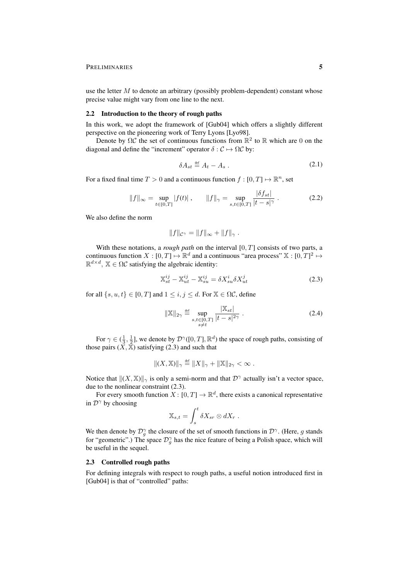#### PRELIMINARIES 5

use the letter  $M$  to denote an arbitrary (possibly problem-dependent) constant whose precise value might vary from one line to the next.

#### 2.2 Introduction to the theory of rough paths

In this work, we adopt the framework of [Gub04] which offers a slightly different perspective on the pioneering work of Terry Lyons [Lyo98].

Denote by  $\Omega C$  the set of continuous functions from  $\mathbb{R}^2$  to  $\mathbb R$  which are 0 on the diagonal and define the "increment" operator  $\delta : \mathcal{C} \mapsto \Omega \mathcal{C}$  by:

$$
\delta A_{st} \stackrel{\text{def}}{=} A_t - A_s \tag{2.1}
$$

For a fixed final time  $T > 0$  and a continuous function  $f : [0, T] \mapsto \mathbb{R}^n$ , set

$$
||f||_{\infty} = \sup_{t \in [0,T]} |f(t)| , \qquad ||f||_{\gamma} = \sup_{s,t \in [0,T]} \frac{|\delta f_{st}|}{|t-s|^{\gamma}} . \tag{2.2}
$$

We also define the norm

$$
||f||_{\mathcal{C}^{\gamma}} = ||f||_{\infty} + ||f||_{\gamma}.
$$

With these notations, a *rough path* on the interval [0, T] consists of two parts, a continuous function  $X : [0, T] \mapsto \mathbb{R}^d$  and a continuous "area process"  $\mathbb{X} : [0, T]^2 \mapsto$  $\mathbb{R}^{d \times d}$ ,  $\mathbb{X} \in \Omega \mathcal{C}$  satisfying the algebraic identity:

$$
\mathbb{X}_{st}^{ij} - \mathbb{X}_{ut}^{ij} - \mathbb{X}_{su}^{ij} = \delta X_{su}^i \delta X_{ut}^j \tag{2.3}
$$

for all  $\{s, u, t\} \in [0, T]$  and  $1 \leq i, j \leq d$ . For  $\mathbb{X} \in \Omega \mathcal{C}$ , define

$$
\|\mathbb{X}\|_{2\gamma} \stackrel{\text{def}}{=} \sup_{\substack{s,t \in [0,T] \\ s \neq t}} \frac{|\mathbb{X}_{st}|}{|t-s|^{2\gamma}} \,. \tag{2.4}
$$

For  $\gamma \in (\frac{1}{3}, \frac{1}{2}]$ , we denote by  $\mathcal{D}^{\gamma}([0, T], \mathbb{R}^d)$  the space of rough paths, consisting of those pairs  $(\tilde{X}, \tilde{X})$  satisfying (2.3) and such that

$$
|| (X, \mathbb{X}) ||_{\gamma} \stackrel{\text{def}}{=} ||X||_{\gamma} + ||\mathbb{X}||_{2\gamma} < \infty.
$$

Notice that  $\|(X,\mathbb{X})\|_{\gamma}$  is only a semi-norm and that  $\mathcal{D}^{\gamma}$  actually isn't a vector space, due to the nonlinear constraint (2.3).

For every smooth function  $X: [0, T] \to \mathbb{R}^d$ , there exists a canonical representative in  $\mathcal{D}^{\gamma}$  by choosing

$$
\mathbb{X}_{s,t} = \int_s^t \delta X_{sr} \otimes dX_r.
$$

We then denote by  $\mathcal{D}_{g}^{\gamma}$  the closure of the set of smooth functions in  $\mathcal{D}^{\gamma}$ . (Here, g stands for "geometric".) The space  $\mathcal{D}_{g}^{\gamma}$  has the nice feature of being a Polish space, which will be useful in the sequel.

#### 2.3 Controlled rough paths

For defining integrals with respect to rough paths, a useful notion introduced first in [Gub04] is that of "controlled" paths: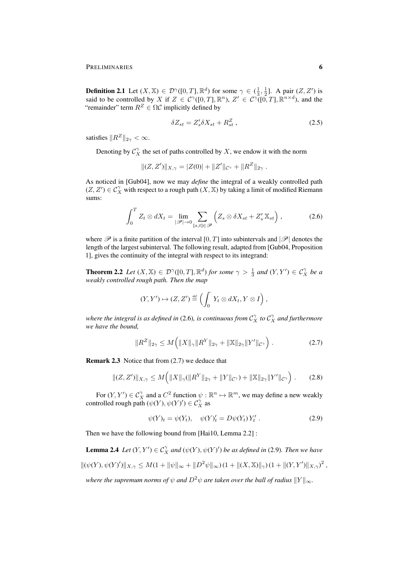PRELIMINARIES 6

**Definition 2.1** Let  $(X, \mathbb{X}) \in \mathcal{D}^{\gamma}([0, T], \mathbb{R}^d)$  for some  $\gamma \in (\frac{1}{3}, \frac{1}{2}]$ . A pair  $(Z, Z')$  is said to be controlled by X if  $Z \in C^{\gamma}([0,T], \mathbb{R}^n)$ ,  $Z' \in C^{\gamma}([0,T], \mathbb{R}^{n \times d})$ , and the "remainder" term  $R^Z \in \Omega \mathcal{C}$  implicitly defined by

$$
\delta Z_{st} = Z_s' \delta X_{st} + R_{st}^Z \,, \tag{2.5}
$$

satisfies  $||R^Z||_{2\gamma} < \infty$ .

Denoting by  $\mathcal{C}_X^{\gamma}$  the set of paths controlled by X, we endow it with the norm

$$
||(Z, Z')||_{X,\gamma} = |Z(0)| + ||Z'||_{\mathcal{C}^{\gamma}} + ||R^Z||_{2\gamma}.
$$

As noticed in [Gub04], now we may *define* the integral of a weakly controlled path  $(Z, Z') \in C_X^{\gamma}$  with respect to a rough path  $(X, \mathbb{X})$  by taking a limit of modified Riemann sums:

$$
\int_0^T Z_t \otimes dX_t = \lim_{|\mathscr{P}| \to 0} \sum_{[s,t] \in \mathscr{P}} \left( Z_s \otimes \delta X_{st} + Z'_s \, \mathbb{X}_{st} \right),\tag{2.6}
$$

where  $\mathscr P$  is a finite partition of the interval [0, T] into subintervals and  $|\mathscr P|$  denotes the length of the largest subinterval. The following result, adapted from [Gub04, Proposition 1], gives the continuity of the integral with respect to its integrand:

**Theorem 2.2** *Let*  $(X, \mathbb{X}) \in \mathcal{D}^{\gamma}([0,T], \mathbb{R}^d)$  *for some*  $\gamma > \frac{1}{3}$  *and*  $(Y, Y') \in C_X^{\gamma}$  *be a weakly controlled rough path. Then the map*

$$
(Y,Y')\mapsto (Z,Z')\stackrel{\text{def}}{=} \left(\int_0^{\cdot} Y_t\otimes dX_t, Y\otimes I\right),
$$

where the integral is as defined in (2.6), is continuous from  $\mathcal{C}^\gamma_X$  to  $\mathcal{C}^\gamma_X$  and furthermore *we have the bound,*

$$
||R^Z||_{2\gamma} \le M\Big(||X||_{\gamma}||R^Y||_{2\gamma} + ||\mathbb{X}||_{2\gamma}||Y'||_{\mathcal{C}^{\gamma}}\Big) . \tag{2.7}
$$

Remark 2.3 Notice that from (2.7) we deduce that

$$
||(Z, Z')||_{X, \gamma} \le M\left(||X||_{\gamma} (||R^Y||_{2\gamma} + ||Y||_{\mathcal{C}^{\gamma}}) + ||\mathbb{X}||_{2\gamma} ||Y'||_{\mathcal{C}^{\gamma}}\right).
$$
 (2.8)

For  $(Y, Y') \in C_X^{\gamma}$  and a  $C^2$  function  $\psi : \mathbb{R}^n \mapsto \mathbb{R}^m$ , we may define a new weakly controlled rough path  $(\psi(Y), \psi(Y)') \in C_X^{\gamma}$  as

$$
\psi(Y)_t = \psi(Y_t), \quad \psi(Y)'_t = D\psi(Y_t) Y'_t \ . \tag{2.9}
$$

Then we have the following bound from [Hai10, Lemma 2.2] :

**Lemma 2.4** Let  $(Y, Y') \in C_X^{\gamma}$  and  $(\psi(Y), \psi(Y'))$  be as defined in (2.9). Then we have  $\|(\psi(Y), \psi(Y')\|_{X,\gamma} \leq M(1 + \|\psi\|_{\infty} + \|D^2\psi\|_{\infty}) (1 + \|(X, \mathbb{X})\|_{\gamma}) (1 + \|(Y, Y')\|_{X,\gamma})^2$ 

*where the supremum norms of*  $\psi$  *and*  $D^2\psi$  *are taken over the ball of radius*  $||Y||_{\infty}$ *.*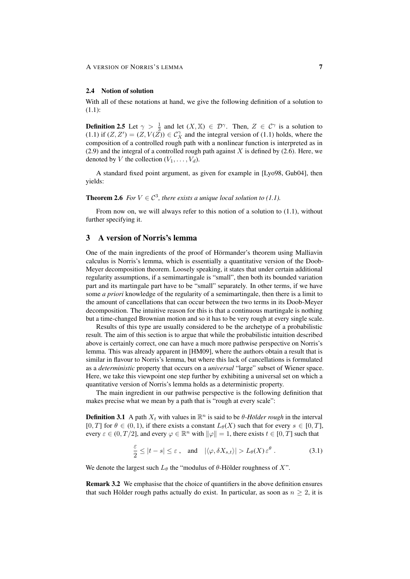#### 2.4 Notion of solution

With all of these notations at hand, we give the following definition of a solution to (1.1):

**Definition 2.5** Let  $\gamma > \frac{1}{3}$  and let  $(X, \mathbb{X}) \in \mathcal{D}^{\gamma}$ . Then,  $Z \in \mathcal{C}^{\gamma}$  is a solution to (1.1) if  $(Z, Z') = (Z, V(Z)) \in C_X^{\gamma}$  and the integral version of (1.1) holds, where the composition of a controlled rough path with a nonlinear function is interpreted as in  $(2.9)$  and the integral of a controlled rough path against X is defined by  $(2.6)$ . Here, we denoted by V the collection  $(V_1, \ldots, V_d)$ .

A standard fixed point argument, as given for example in [Lyo98, Gub04], then yields:

**Theorem 2.6** *For*  $V \in \mathcal{C}^3$ *, there exists a unique local solution to (1.1).* 

From now on, we will always refer to this notion of a solution to (1.1), without further specifying it.

## 3 A version of Norris's lemma

One of the main ingredients of the proof of Hörmander's theorem using Malliavin calculus is Norris's lemma, which is essentially a quantitative version of the Doob-Meyer decomposition theorem. Loosely speaking, it states that under certain additional regularity assumptions, if a semimartingale is "small", then both its bounded variation part and its martingale part have to be "small" separately. In other terms, if we have some *a priori* knowledge of the regularity of a semimartingale, then there is a limit to the amount of cancellations that can occur between the two terms in its Doob-Meyer decomposition. The intuitive reason for this is that a continuous martingale is nothing but a time-changed Brownian motion and so it has to be very rough at every single scale.

Results of this type are usually considered to be the archetype of a probabilistic result. The aim of this section is to argue that while the probabilistic intuition described above is certainly correct, one can have a much more pathwise perspective on Norris's lemma. This was already apparent in [HM09], where the authors obtain a result that is similar in flavour to Norris's lemma, but where this lack of cancellations is formulated as a *deterministic* property that occurs on a *universal* "large" subset of Wiener space. Here, we take this viewpoint one step further by exhibiting a universal set on which a quantitative version of Norris's lemma holds as a deterministic property.

The main ingredient in our pathwise perspective is the following definition that makes precise what we mean by a path that is "rough at every scale":

**Definition 3.1** A path  $X_t$  with values in  $\mathbb{R}^n$  is said to be  $\theta$ -Hölder rough in the interval [0, T] for  $\theta \in (0, 1)$ , if there exists a constant  $L_{\theta}(X)$  such that for every  $s \in [0, T]$ , every  $\varepsilon \in (0, T/2]$ , and every  $\varphi \in \mathbb{R}^n$  with  $\|\varphi\| = 1$ , there exists  $t \in [0, T]$  such that

$$
\frac{\varepsilon}{2} \le |t - s| \le \varepsilon \;, \quad \text{and} \quad |\langle \varphi, \delta X_{s,t} \rangle| > L_{\theta}(X) \, \varepsilon^{\theta} \;.
$$

We denote the largest such  $L_{\theta}$  the "modulus of  $\theta$ -Hölder roughness of X".

Remark 3.2 We emphasise that the choice of quantifiers in the above definition ensures that such Hölder rough paths actually do exist. In particular, as soon as  $n \geq 2$ , it is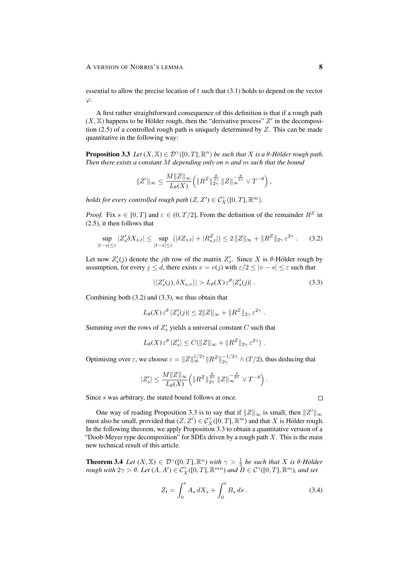essential to allow the precise location of  $t$  such that  $(3.1)$  holds to depend on the vector  $\varphi$ .

A first rather straightforward consequence of this definition is that if a rough path  $(X, \mathbb{X})$  happens to be Hölder rough, then the "derivative process"  $Z'$  in the decomposition (2.5) of a controlled rough path is uniquely determined by  $Z$ . This can be made quantitative in the following way:

**Proposition 3.3** Let  $(X, \mathbb{X}) \in \mathcal{D}^{\gamma}([0, T], \mathbb{R}^n)$  be such that X is a  $\theta$ -Hölder rough path. *Then there exists a constant* M *depending only on* n *and* m *such that the bound*

$$
||Z'||_{\infty} \le \frac{M||Z||_{\infty}}{L_{\theta}(X)} \left( ||R^Z||_{2\gamma}^{\frac{\theta}{2\gamma}} ||Z||_{\infty}^{-\frac{\theta}{2\gamma}} \vee T^{-\theta} \right),
$$

*holds for every controlled rough path*  $(Z, Z') \in C_X^{\gamma}([0, T], \mathbb{R}^m)$ *.* 

*Proof.* Fix  $s \in [0, T]$  and  $\varepsilon \in (0, T/2]$ , From the definition of the remainder  $R^Z$  in (2.5), it then follows that

$$
\sup_{|t-s| \leq \varepsilon} |Z_s' \delta X_{s,t}| \leq \sup_{|t-s| \leq \varepsilon} (|\delta Z_{s,t}| + |R_{s,t}^Z|) \leq 2 \|Z\|_{\infty} + \|R^Z\|_{2\gamma} \varepsilon^{2\gamma} . \tag{3.2}
$$

Let now  $Z_s'(j)$  denote the jth row of the matrix  $Z_s'$ . Since X is  $\theta$ -Hölder rough by assumption, for every  $j \leq d$ , there exists  $v = v(j)$  with  $\varepsilon/2 \leq |v - s| \leq \varepsilon$  such that

$$
|\langle Z_s'(j), \delta X_{s,v} \rangle| > L_{\theta}(X) \varepsilon^{\theta} |Z_s'(j)|.
$$
 (3.3)

Combining both (3.2) and (3.3), we thus obtain that

$$
L_{\theta}(X) \,\varepsilon^{\theta} \, |Z_s'(j)| \leq 2||Z||_{\infty} + ||R^Z||_{2\gamma} \,\varepsilon^{2\gamma} .
$$

Summing over the rows of  $Z'_s$  yields a universal constant C such that

$$
L_{\theta}(X)\,\varepsilon^{\theta}\,|Z_s'|\leq C(\|Z\|_{\infty}+\|R^Z\|_{2\gamma}\,\varepsilon^{2\gamma})\;.
$$

Optimising over  $\varepsilon$ , we choose  $\varepsilon = ||Z||_{\infty}^{1/2\gamma} ||R^Z||_{2\gamma}^{-1/2\gamma} \wedge (T/2)$ , thus deducing that

$$
|Z'_s| \leq \frac{M \|Z\|_\infty}{L_{\theta}(X)} \Big( \|R^Z\|_{2\gamma}^{\frac{\theta}{2\gamma}}\, \|Z\|_\infty^{-\frac{\theta}{2\gamma}} \vee T^{-\theta}\Big)\,.
$$

Since s was arbitrary, the stated bound follows at once.

One way of reading Proposition 3.3 is to say that if  $||Z||_{\infty}$  is small, then  $||Z'||_{\infty}$ must also be small, provided that  $(Z, Z') \in C_X^{\gamma}([0, T], \mathbb{R}^m)$  and that X is Hölder rough. In the following theorem, we apply Proposition 3.3 to obtain a quantitative version of a "Doob-Meyer type decomposition" for SDEs driven by a rough path  $X$ . This is the main new technical result of this article.

**Theorem 3.4** *Let*  $(X, \mathbb{X}) \in \mathcal{D}^{\gamma}([0,T], \mathbb{R}^n)$  *with*  $\gamma > \frac{1}{3}$  *be such that* X *is*  $\theta$ -Hölder *rough with*  $2\gamma > \theta$ . Let  $(A, A') \in C_X^{\gamma}([0, T], \mathbb{R}^{mn})$  and  $B \in C^{\gamma}([0, T], \mathbb{R}^m)$ , and set

$$
Z_t = \int_0^t A_s \, dX_s + \int_0^t B_s \, ds \,. \tag{3.4}
$$

 $\Box$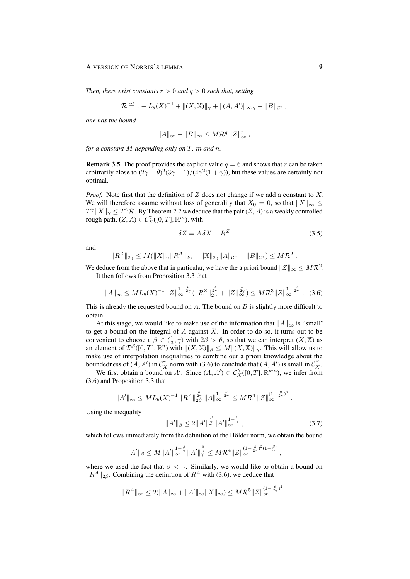#### A VERSION OF NORRIS'S LEMMA 9

*Then, there exist constants*  $r > 0$  *and*  $q > 0$  *such that, setting* 

$$
\mathcal{R} \stackrel{\text{\tiny def}}{=} 1 + L_{\theta}(X)^{-1} + \|(X, \mathbb{X})\|_{\gamma} + \|(A, A')\|_{X, \gamma} + \|B\|_{\mathcal{C}^{\gamma}} ,
$$

*one has the bound*

$$
||A||_{\infty} + ||B||_{\infty} \le M\mathcal{R}^q ||Z||_{\infty}^r,
$$

*for a constant* M *depending only on* T*,* m *and* n*.*

**Remark 3.5** The proof provides the explicit value  $q = 6$  and shows that r can be taken arbitrarily close to  $(2\gamma - \theta)^2 (3\gamma - 1)/(4\gamma^2(1 + \gamma))$ , but these values are certainly not optimal.

*Proof.* Note first that the definition of  $Z$  does not change if we add a constant to  $X$ . We will therefore assume without loss of generality that  $X_0 = 0$ , so that  $||X||_{\infty} \le$  $T^{\gamma} \|X\|_{\gamma} \leq T^{\gamma} \mathcal{R}$ . By Theorem 2.2 we deduce that the pair  $(Z, A)$  is a weakly controlled rough path,  $(Z, A) \in C^{\gamma}_X([0, T], \mathbb{R}^m)$ , with

$$
\delta Z = A \, \delta X + R^Z \tag{3.5}
$$

and

$$
||R^Z||_{2\gamma} \leq M(||X||_{\gamma}||R^A||_{2\gamma} + ||X||_{2\gamma}||A||_{\mathcal{C}^{\gamma}} + ||B||_{\mathcal{C}^{\gamma}}) \leq M\mathcal{R}^2.
$$

We deduce from the above that in particular, we have the a priori bound  $||Z||_{\infty} \leq M\mathcal{R}^2$ . It then follows from Proposition 3.3 that

$$
||A||_{\infty} \leq ML_{\theta}(X)^{-1} ||Z||_{\infty}^{1-\frac{\theta}{2\gamma}} (||R^Z||_{2\gamma}^{\frac{\theta}{2\gamma}} + ||Z||_{\infty}^{\frac{\theta}{2\gamma}}) \leq M\mathcal{R}^3 ||Z||_{\infty}^{1-\frac{\theta}{2\gamma}}. \quad (3.6)
$$

This is already the requested bound on  $A$ . The bound on  $B$  is slightly more difficult to obtain.

At this stage, we would like to make use of the information that  $||A||_{\infty}$  is "small" to get a bound on the integral of  $A$  against  $X$ . In order to do so, it turns out to be convenient to choose a  $\beta \in (\frac{1}{3}, \gamma)$  with  $2\beta > \theta$ , so that we can interpret  $(X, \mathbb{X})$  as an element of  $\mathcal{D}^{\beta}([0,T], \mathbb{R}^n)$  with  $\|(X, \mathbb{X})\|_{\beta} \leq M \|(X, \mathbb{X})\|_{\gamma}$ . This will allow us to make use of interpolation inequalities to combine our a priori knowledge about the boundedness of  $(A, A')$  in  $C_X^{\gamma}$  norm with (3.6) to conclude that  $(A, A')$  is small in  $C_X^{\beta}$ .

We first obtain a bound on A'. Since  $(A, A') \in C^{\gamma}_X([0, T], \mathbb{R}^{mn})$ , we infer from (3.6) and Proposition 3.3 that

$$
||A'||_{\infty} \leq ML_{\theta}(X)^{-1} ||R^A||_{2\beta}^{\frac{\theta}{2\gamma}} ||A||_{\infty}^{1-\frac{\theta}{2\gamma}} \leq M\mathcal{R}^4 ||Z||_{\infty}^{(1-\frac{\theta}{2\gamma})^2}.
$$

Using the inequality

$$
||A'||_{\beta} \le 2||A'||_{\gamma}^{\frac{\beta}{\gamma}}||A'||_{\infty}^{1-\frac{\beta}{\gamma}}, \qquad (3.7)
$$

which follows immediately from the definition of the Hölder norm, we obtain the bound

$$
||A'||_{\beta} \leq M||A'||_{\infty}^{1-\frac{\beta}{\gamma}}||A'||_{\gamma}^{\frac{\beta}{\gamma}} \leq M\mathcal{R}^{4}||Z||_{\infty}^{(1-\frac{\theta}{2\gamma})^{2}(1-\frac{\beta}{\gamma})},
$$

where we used the fact that  $\beta < \gamma$ . Similarly, we would like to obtain a bound on  $\Vert R^A \Vert_{2\beta}$ . Combining the definition of  $R^A$  with (3.6), we deduce that

$$
||R^A||_{\infty} \le 2(||A||_{\infty} + ||A'||_{\infty} ||X||_{\infty}) \le M\mathcal{R}^5 ||Z||_{\infty}^{(1-\frac{\theta}{2\gamma})^2}.
$$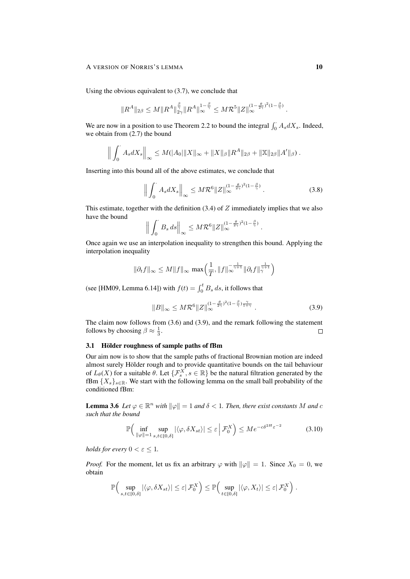#### A VERSION OF NORRIS'S LEMMA 10

Using the obvious equivalent to (3.7), we conclude that

$$
\|R^A\|_{2\beta}\leq M\|R^A\|_{2\gamma}^{\frac{\beta}{\gamma}}\|R^A\|_{\infty}^{1-\frac{\beta}{\gamma}}\leq M\mathcal{R}^5\|Z\|_{\infty}^{(1-\frac{\theta}{2\gamma})^2(1-\frac{\beta}{\gamma})}\,.
$$

We are now in a position to use Theorem 2.2 to bound the integral  $\int_0^{\cdot} A_s dX_s$ . Indeed, we obtain from (2.7) the bound

$$
\Big\| \int_0^{\cdot} A_s dX_s \Big\|_{\infty} \leq M(|A_0| \|X\|_{\infty} + \|X\|_{\beta} \|R^A\|_{2\beta} + \|\mathbb{X}\|_{2\beta} \|A'\|_{\beta}).
$$

Inserting into this bound all of the above estimates, we conclude that

$$
\left\| \int_0^{\cdot} A_s dX_s \right\|_{\infty} \le M \mathcal{R}^6 \|Z\|_{\infty}^{(1-\frac{\theta}{2\gamma})^2 (1-\frac{\beta}{\gamma})} . \tag{3.8}
$$

This estimate, together with the definition  $(3.4)$  of  $Z$  immediately implies that we also have the bound

$$
\Big\|\int_0^{\cdot} B_s ds\Big\|_{\infty} \leq M \mathcal{R}^6 \|Z\|_{\infty}^{(1-\frac{\theta}{2\gamma})^2(1-\frac{\beta}{\gamma})}.
$$

Once again we use an interpolation inequality to strengthen this bound. Applying the interpolation inequality

$$
\|\partial_t f\|_\infty \leq M \|f\|_\infty \, \max\Bigl( \frac{1}{T}, \|f\|_\infty^{-\frac{1}{\gamma+1}} \|\partial_t f\|_\gamma^{\frac{1}{\gamma+1}} \Bigr)
$$

(see [HM09, Lemma 6.14]) with  $f(t) = \int_0^t B_s ds$ , it follows that

$$
||B||_{\infty} \le M \mathcal{R}^{6} ||Z||_{\infty}^{(1-\frac{\theta}{2\gamma})^2 (1-\frac{\beta}{\gamma})\frac{\gamma}{1+\gamma}}.
$$
\n(3.9)

The claim now follows from (3.6) and (3.9), and the remark following the statement follows by choosing  $\beta \approx \frac{1}{3}$ .  $\Box$ 

## 3.1 Hölder roughness of sample paths of fBm

Our aim now is to show that the sample paths of fractional Brownian motion are indeed almost surely Hölder rough and to provide quantitative bounds on the tail behaviour of  $L_{\theta}(X)$  for a suitable  $\theta$ . Let  $\{\mathcal{F}_{s}^{X}, s \in \mathbb{R}\}$  be the natural filtration generated by the fBm  ${X_s}_{s \in \mathbb{R}}$ . We start with the following lemma on the small ball probability of the conditioned fBm:

**Lemma 3.6** Let  $\varphi \in \mathbb{R}^n$  with  $\|\varphi\| = 1$  and  $\delta < 1$ . Then, there exist constants M and c *such that the bound*

$$
\mathbb{P}\Big(\inf_{\|\varphi\|=1} \sup_{s,t\in[0,\delta]} |\langle \varphi, \delta X_{st} \rangle| \leq \varepsilon \left| \mathcal{F}_0^X \right) \leq Me^{-c\delta^{2H}\varepsilon^{-2}} \tag{3.10}
$$

*holds for every*  $0 < \varepsilon \leq 1$ *.* 

*Proof.* For the moment, let us fix an arbitrary  $\varphi$  with  $\|\varphi\| = 1$ . Since  $X_0 = 0$ , we obtain

$$
\mathbb{P}\Big(\sup_{s,t\in[0,\delta]}|\langle\varphi,\delta X_{st}\rangle|\leq \varepsilon|\,\mathcal{F}_0^X\Big)\leq \mathbb{P}\Big(\sup_{t\in[0,\delta]}|\langle\varphi,X_t\rangle|\leq \varepsilon|\,\mathcal{F}_0^X\Big)\;.
$$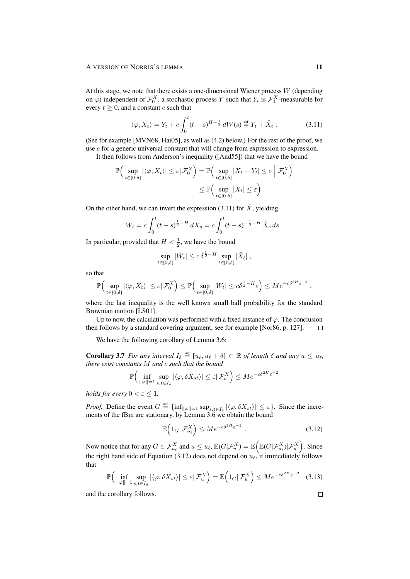At this stage, we note that there exists a one-dimensional Wiener process  $W$  (depending on  $\varphi$ ) independent of  $\mathcal{F}_0^X$ , a stochastic process Y such that  $Y_t$  is  $\mathcal{F}_0^X$ -measurable for every  $t \geq 0$ , and a constant c such that

$$
\langle \varphi, X_t \rangle = Y_t + c \int_0^t (t - s)^{H - \frac{1}{2}} dW(s) \stackrel{\text{def}}{=} Y_t + \hat{X}_t \,. \tag{3.11}
$$

(See for example [MVN68, Hai05], as well as (4.2) below.) For the rest of the proof, we use  $c$  for a generic universal constant that will change from expression to expression. It then follows from Anderson's inequality ([And55]) that we have the bound

$$
\mathbb{P}\Big(\sup_{t\in[0,\delta]}|\langle\varphi,X_t\rangle|\leq\varepsilon|\,\mathcal{F}_0^X\Big)=\mathbb{P}\Big(\sup_{t\in[0,\delta]}|\hat{X}_t+Y_t|\leq\varepsilon\;\Big|\,\mathcal{F}_0^X\Big)
$$

$$
\leq\mathbb{P}\Big(\sup_{t\in[0,\delta]}|\hat{X}_t|\leq\varepsilon\Big)\;.
$$

On the other hand, we can invert the expression (3.11) for  $\hat{X}$ , yielding

$$
W_t = c \int_0^t (t-s)^{\frac{1}{2}-H} d\hat{X}_s = c \int_0^t (t-s)^{-\frac{1}{2}-H} \hat{X}_s ds.
$$

In particular, provided that  $H < \frac{1}{2}$ , we have the bound

$$
\sup_{t\in[0,\delta]}|W_t|\leq c\,\delta^{\frac{1}{2}-H}\sup_{t\in[0,\delta]}|\hat{X}_t|\;,
$$

so that

$$
\mathbb{P}\Big(\sup_{t\in[0,\delta]}|\langle\varphi,X_t\rangle|\leq \varepsilon|\,\mathcal{F}^X_0\Big)\leq \mathbb{P}\Big(\sup_{t\in[0,\delta]}|W_t|\leq c\delta^{\frac{1}{2}-H}\varepsilon\Big)\leq Me^{-c\delta^{2H}\varepsilon^{-2}}\;,
$$

where the last inequality is the well known small ball probability for the standard Brownian motion [LS01].

Up to now, the calculation was performed with a fixed instance of  $\varphi$ . The conclusion then follows by a standard covering argument, see for example [Nor86, p. 127].  $\Box$ 

We have the following corollary of Lemma 3.6:

**Corollary 3.7** *For any interval*  $I_{\delta} \stackrel{\text{def}}{=} [u_{\ell}, u_{\ell} + \delta] \subset \mathbb{R}$  *of length*  $\delta$  *and any*  $u \leq u_{\ell}$ , *there exist constants* M *and* c *such that the bound*

$$
\mathbb{P}\Big(\inf_{\|\varphi\|=1}\sup_{s,t\in I_{\delta}}|\langle\varphi,\delta X_{st}\rangle|\leq \varepsilon|\,\mathcal{F}_{u}^{X}\Big)\leq Me^{-c\delta^{2H}\varepsilon^{-2}}
$$

*holds for every*  $0 < \varepsilon \leq 1$ *.* 

*Proof.* Define the event  $G \triangleq \{\inf_{\|\varphi\|=1} \sup_{s,t \in I_\delta} |\langle \varphi, \delta X_{st} \rangle| \leq \varepsilon\}$ . Since the increments of the fBm are stationary, by Lemma 3.6 we obtain the bound

$$
\mathbb{E}\left(1_G|\mathcal{F}_{u_\ell}^X\right) \le Me^{-c\delta^{2H}\varepsilon^{-2}}\,. \tag{3.12}
$$

Now notice that for any  $G \in \mathcal{F}_{u_\ell}^X$  and  $u \leq u_\ell$ ,  $\mathbb{E}(G|\mathcal{F}_u^X) = \mathbb{E} \Big( \mathbb{E}(G|\mathcal{F}_{u_\ell}^X) | \mathcal{F}_{u}^X \Big)$ . Since the right hand side of Equation (3.12) does not depend on  $u_{\ell}$ , it immediately follows that

$$
\mathbb{P}\Big(\inf_{\|\varphi\|=1} \sup_{s,t\in I_{\delta}} |\langle \varphi, \delta X_{st} \rangle| \leq \varepsilon |\mathcal{F}_u^X\Big) = \mathbb{E}\Big(1_G |\mathcal{F}_u^X\Big) \leq Me^{-c\delta^{2H}\varepsilon^{-2}} \quad (3.13)
$$

and the corollary follows.

 $\Box$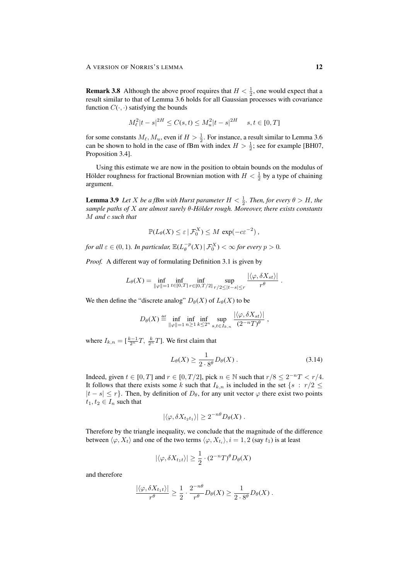**Remark 3.8** Although the above proof requires that  $H < \frac{1}{2}$ , one would expect that a result similar to that of Lemma 3.6 holds for all Gaussian processes with covariance function  $C(\cdot, \cdot)$  satisfying the bounds

$$
M_{\ell}^{2}|t-s|^{2H} \leq C(s,t) \leq M_{u}^{2}|t-s|^{2H} \quad s, t \in [0, T]
$$

for some constants  $M_\ell, M_u$ , even if  $H > \frac{1}{2}$ . For instance, a result similar to Lemma 3.6 can be shown to hold in the case of fBm with index  $H > \frac{1}{2}$ ; see for example [BH07, Proposition 3.4].

Using this estimate we are now in the position to obtain bounds on the modulus of Hölder roughness for fractional Brownian motion with  $H < \frac{1}{2}$  by a type of chaining argument.

**Lemma 3.9** Let *X* be a fBm with Hurst parameter  $H < \frac{1}{2}$ . Then, for every  $\theta > H$ , the *sample paths of* X *are almost surely* θ*-Holder rough. Moreover, there exists constants ¨* M *and* c *such that*

$$
\mathbb{P}(L_{\theta}(X) \leq \varepsilon \,|\, \mathcal{F}_0^X) \leq M \, \exp(-c \varepsilon^{-2}) \, ,
$$

*for all*  $\varepsilon \in (0, 1)$ *. In particular,*  $\mathbb{E}(L_{\theta}^{-p}(X) | \mathcal{F}_{0}^{X}) < \infty$  for every  $p > 0$ *.* 

*Proof.* A different way of formulating Definition 3.1 is given by

$$
L_{\theta}(X) = \inf_{\|\varphi\|=1} \inf_{t \in [0,T]} \inf_{r \in [0,T/2]} \sup_{r/2 \leq |t-s| \leq r} \frac{|\langle \varphi, \delta X_{st} \rangle|}{r^{\theta}}.
$$

We then define the "discrete analog"  $D_{\theta}(X)$  of  $L_{\theta}(X)$  to be

$$
D_{\theta}(X) \stackrel{\text{def}}{=} \inf_{\|\varphi\|=1} \inf_{n\geq 1} \inf_{k\leq 2^n} \sup_{s,t\in I_{k,n}} \frac{|\langle \varphi, \delta X_{st}\rangle|}{(2^{-n}T)^{\theta}},
$$

where  $I_{k,n} = \left[\frac{k-1}{2^n}T, \frac{k}{2^n}T\right]$ . We first claim that

$$
L_{\theta}(X) \ge \frac{1}{2 \cdot 8^{\theta}} D_{\theta}(X) . \tag{3.14}
$$

Indeed, given  $t \in [0, T]$  and  $r \in [0, T/2]$ , pick  $n \in \mathbb{N}$  such that  $r/8 \leq 2^{-n}T < r/4$ . It follows that there exists some k such that  $I_{k,n}$  is included in the set  $\{s : r/2 \leq$  $|t - s| \leq r$ . Then, by definition of  $D_{\theta}$ , for any unit vector  $\varphi$  there exist two points  $t_1, t_2 \in I_n$  such that

$$
|\langle \varphi, \delta X_{t_2 t_1} \rangle| \geq 2^{-n\theta} D_{\theta}(X) .
$$

Therefore by the triangle inequality, we conclude that the magnitude of the difference between  $\langle \varphi, X_t \rangle$  and one of the two terms  $\langle \varphi, X_{t_i} \rangle, i = 1, 2$  (say  $t_1$ ) is at least

$$
|\langle \varphi, \delta X_{t_1 t} \rangle| \ge \frac{1}{2} \cdot (2^{-n} T)^{\theta} D_{\theta}(X)
$$

and therefore

$$
\frac{|\langle \varphi, \delta X_{t_1 t}\rangle|}{r^{\theta}} \ge \frac{1}{2} \cdot \frac{2^{-n\theta}}{r^{\theta}} D_{\theta}(X) \ge \frac{1}{2 \cdot 8^{\theta}} D_{\theta}(X) .
$$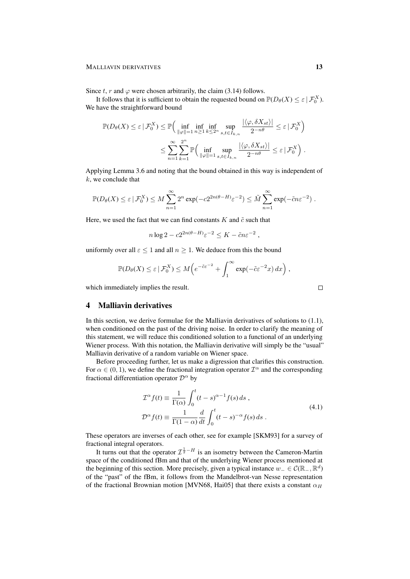#### MALLIAVIN DERIVATIVES 13

Since t, r and  $\varphi$  were chosen arbitrarily, the claim (3.14) follows.

It follows that it is sufficient to obtain the requested bound on  $\mathbb{P}(D_{\theta}(X) \leq \varepsilon \mid \mathcal{F}_0^X)$ . We have the straightforward bound

$$
\mathbb{P}(D_{\theta}(X) \leq \varepsilon \mid \mathcal{F}_{0}^{X}) \leq \mathbb{P}\Big(\inf_{\|\varphi\|=1} \inf_{n\geq 1} \inf_{k\leq 2^{n}} \sup_{s,t\in I_{k,n}} \frac{|\langle \varphi, \delta X_{st}\rangle|}{2^{-n\theta}} \leq \varepsilon \mid \mathcal{F}_{0}^{X}\Big)
$$

$$
\leq \sum_{n=1}^{\infty} \sum_{k=1}^{2^{n}} \mathbb{P}\Big(\inf_{\|\varphi\|=1} \sup_{s,t\in I_{k,n}} \frac{|\langle \varphi, \delta X_{st}\rangle|}{2^{-n\theta}} \leq \varepsilon \mid \mathcal{F}_{0}^{X}\Big).
$$

Applying Lemma 3.6 and noting that the bound obtained in this way is independent of  $k$ , we conclude that

$$
\mathbb{P}(D_{\theta}(X) \leq \varepsilon \,|\,\mathcal{F}_0^X) \leq M \sum_{n=1}^{\infty} 2^n \exp(-c2^{2n(\theta - H)} \varepsilon^{-2}) \leq \tilde{M} \sum_{n=1}^{\infty} \exp(-\tilde{c}n \varepsilon^{-2}).
$$

Here, we used the fact that we can find constants  $K$  and  $\tilde{c}$  such that

$$
n \log 2 - c 2^{2n(\theta - H)} \varepsilon^{-2} \leq K - \tilde{c} n \varepsilon^{-2} ,
$$

uniformly over all  $\varepsilon \leq 1$  and all  $n \geq 1$ . We deduce from this the bound

$$
\mathbb{P}(D_{\theta}(X) \leq \varepsilon \,|\,\mathcal{F}_0^X) \leq M\Big(e^{-\tilde{c}\varepsilon^{-2}} + \int_1^{\infty} \exp(-\tilde{c}\varepsilon^{-2}x) \,dx\Big)\,,
$$

which immediately implies the result.

## 4 Malliavin derivatives

In this section, we derive formulae for the Malliavin derivatives of solutions to (1.1), when conditioned on the past of the driving noise. In order to clarify the meaning of this statement, we will reduce this conditioned solution to a functional of an underlying Wiener process. With this notation, the Malliavin derivative will simply be the "usual" Malliavin derivative of a random variable on Wiener space.

Before proceeding further, let us make a digression that clarifies this construction. For  $\alpha \in (0, 1)$ , we define the fractional integration operator  $\mathcal{I}^{\alpha}$  and the corresponding fractional differentiation operator  $\mathcal{D}^{\alpha}$  by

$$
\mathcal{I}^{\alpha}f(t) \equiv \frac{1}{\Gamma(\alpha)} \int_0^t (t-s)^{\alpha-1} f(s) ds ,
$$
  

$$
\mathcal{D}^{\alpha}f(t) \equiv \frac{1}{\Gamma(1-\alpha)} \frac{d}{dt} \int_0^t (t-s)^{-\alpha} f(s) ds .
$$
 (4.1)

These operators are inverses of each other, see for example [SKM93] for a survey of fractional integral operators.

It turns out that the operator  $\mathcal{I}^{\frac{1}{2}-H}$  is an isometry between the Cameron-Martin space of the conditioned fBm and that of the underlying Wiener process mentioned at the beginning of this section. More precisely, given a typical instance  $w_-\in\mathcal{C}(\mathbb{R}_-, \mathbb{R}^d)$ of the "past" of the fBm, it follows from the Mandelbrot-van Nesse representation of the fractional Brownian motion [MVN68, Hai05] that there exists a constant  $\alpha_H$ 

 $\Box$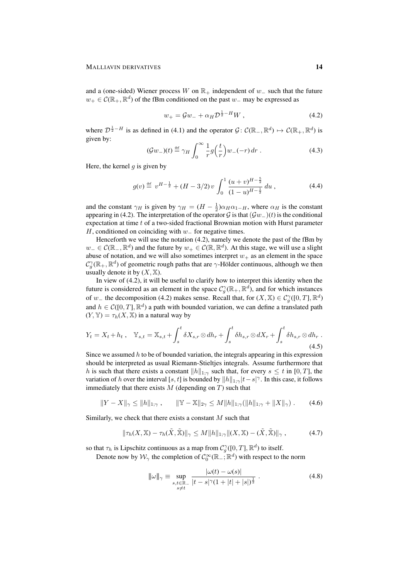and a (one-sided) Wiener process W on  $\mathbb{R}_+$  independent of w<sub>-</sub> such that the future  $w_+ \in \mathcal{C}(\mathbb{R}_+, \mathbb{R}^d)$  of the fBm conditioned on the past  $w_-$  may be expressed as

$$
w_{+} = Gw_{-} + \alpha_{H} \mathcal{D}^{\frac{1}{2} - H} W , \qquad (4.2)
$$

where  $\mathcal{D}^{\frac{1}{2}-H}$  is as defined in (4.1) and the operator  $\mathcal{G} \colon \mathcal{C}(\mathbb{R}_-, \mathbb{R}^d) \mapsto \mathcal{C}(\mathbb{R}_+, \mathbb{R}^d)$  is given by:

$$
(\mathcal{G}w_{-})(t) \stackrel{\text{def}}{=} \gamma_H \int_0^{\infty} \frac{1}{r} g\left(\frac{t}{r}\right) w_{-}(-r) \, dr \tag{4.3}
$$

Here, the kernel  $q$  is given by

$$
g(v) \stackrel{\text{def}}{=} v^{H - \frac{1}{2}} + (H - 3/2) v \int_0^1 \frac{(u + v)^{H - \frac{5}{2}}}{(1 - u)^{H - \frac{1}{2}}} du , \tag{4.4}
$$

and the constant  $\gamma_H$  is given by  $\gamma_H = (H - \frac{1}{2})\alpha_H \alpha_{1-H}$ , where  $\alpha_H$  is the constant appearing in (4.2). The interpretation of the operator G is that  $(\mathcal{G}w_{-})(t)$  is the conditional expectation at time t of a two-sided fractional Brownian motion with Hurst parameter H, conditioned on coinciding with  $w_$  for negative times.

Henceforth we will use the notation (4.2), namely we denote the past of the fBm by  $w_-\in\mathcal{C}(\mathbb{R}_-,\mathbb{R}^d)$  and the future by  $w_+\in\mathcal{C}(\mathbb{R},\mathbb{R}^d)$ . At this stage, we will use a slight abuse of notation, and we will also sometimes interpret  $w_+$  as an element in the space  $\mathcal{C}^\gamma_g(\mathbb{R}_+, \mathbb{R}^d)$  of geometric rough paths that are  $\gamma$ -Hölder continuous, although we then usually denote it by  $(X, \mathbb{X})$ .

In view of (4.2), it will be useful to clarify how to interpret this identity when the future is considered as an element in the space  $\mathcal{C}^\gamma_g(\mathbb{R}_+,\mathbb{R}^d)$ , and for which instances of w<sub>−</sub> the decomposition (4.2) makes sense. Recall that, for  $(X, \mathbb{X}) \in C_q^{\gamma}([0, T], \mathbb{R}^d)$ and  $h \in \mathcal{C}([0,T], \mathbb{R}^d)$  a path with bounded variation, we can define a translated path  $(Y, Y) = \tau_h(X, X)$  in a natural way by

$$
Y_t = X_t + h_t, \quad \mathbb{Y}_{s,t} = \mathbb{X}_{s,t} + \int_s^t \delta X_{s,r} \otimes dh_r + \int_s^t \delta h_{s,r} \otimes dX_r + \int_s^t \delta h_{s,r} \otimes dh_r.
$$
\n
$$
(4.5)
$$

Since we assumed  $h$  to be of bounded variation, the integrals appearing in this expression should be interpreted as usual Riemann-Stieltjes integrals. Assume furthermore that h is such that there exists a constant  $||h||_{1;\gamma}$  such that, for every  $s \leq t$  in [0, T], the variation of h over the interval [s, t] is bounded by  $||h||_{1;\gamma}|t-s|^\gamma$ . In this case, it follows immediately that there exists  $M$  (depending on  $T$ ) such that

$$
||Y - X||_{\gamma} \le ||h||_{1;\gamma}, \qquad ||Y - X||_{2\gamma} \le M||h||_{1;\gamma} (||h||_{1;\gamma} + ||X||_{\gamma}). \tag{4.6}
$$

Similarly, we check that there exists a constant M such that

$$
\|\tau_h(X,\mathbb{X})-\tau_h(\tilde{X},\tilde{\mathbb{X}})\|_{\gamma} \le M\|h\|_{1,\gamma}\|(X,\mathbb{X})-(\tilde{X},\tilde{\mathbb{X}})\|_{\gamma},\tag{4.7}
$$

so that  $\tau_h$  is Lipschitz continuous as a map from  $\mathcal{C}^{\gamma}_{g}([0,T], \mathbb{R}^d)$  to itself.

Denote now by  $\mathcal{W}_{\gamma}$  the completion of  $\mathcal{C}_0^{\infty}(\mathbb{R}_-;\mathbb{R}^d)$  with respect to the norm

$$
\|\omega\|_{\gamma} \equiv \sup_{\substack{s,t \in \mathbb{R}^- \\ s \neq t}} \frac{|\omega(t) - \omega(s)|}{|t - s|^{\gamma} (1 + |t| + |s|)^{\frac{1}{2}}} \,. \tag{4.8}
$$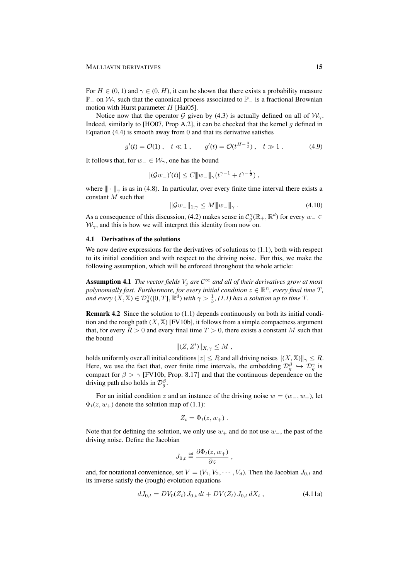For  $H \in (0, 1)$  and  $\gamma \in (0, H)$ , it can be shown that there exists a probability measure  $\mathbb{P}_-$  on  $\mathcal{W}_\gamma$  such that the canonical process associated to  $\mathbb{P}_-$  is a fractional Brownian motion with Hurst parameter  $H$  [Hai05].

Notice now that the operator G given by (4.3) is actually defined on all of  $\mathcal{W}_{\gamma}$ . Indeed, similarly to [HO07, Prop A.2], it can be checked that the kernel  $q$  defined in Equation  $(4.4)$  is smooth away from 0 and that its derivative satisfies

$$
g'(t) = \mathcal{O}(1), \quad t \ll 1, \qquad g'(t) = \mathcal{O}(t^{H - \frac{3}{2}}), \quad t \gg 1. \tag{4.9}
$$

It follows that, for  $w_-\in\mathcal{W}_{\gamma}$ , one has the bound

$$
|(\mathcal{G}w_*)'(t)| \le C ||w_-||_{\gamma} (t^{\gamma-1} + t^{\gamma - \frac{1}{2}}),
$$

where  $\|\cdot\|_{\gamma}$  is as in (4.8). In particular, over every finite time interval there exists a constant M such that

$$
\|\mathcal{G}w_{-}\|_{1,\gamma} \le M\|w_{-}\|_{\gamma} . \tag{4.10}
$$

As a consequence of this discussion, (4.2) makes sense in  $C_g^{\gamma}(\mathbb{R}_+, \mathbb{R}^d)$  for every  $w_- \in$  $W_{\gamma}$ , and this is how we will interpret this identity from now on.

#### 4.1 Derivatives of the solutions

We now derive expressions for the derivatives of solutions to  $(1.1)$ , both with respect to its initial condition and with respect to the driving noise. For this, we make the following assumption, which will be enforced throughout the whole article:

**Assumption 4.1** *The vector fields*  $V_j$  *are*  $C^{\infty}$  *and all of their derivatives grow at most* polynomially fast. Furthermore, for every initial condition  $z \in \mathbb{R}^n$ , every final time T, *and every*  $(X, \mathbb{X}) \in \mathcal{D}_g^{\gamma}([0, T], \mathbb{R}^d)$  *with*  $\gamma > \frac{1}{3}$ , (1.1) has a solution up to time T.

Remark 4.2 Since the solution to (1.1) depends continuously on both its initial condition and the rough path  $(X, \mathbb{X})$  [FV10b], it follows from a simple compactness argument that, for every  $R > 0$  and every final time  $T > 0$ , there exists a constant M such that the bound

$$
|| (Z, Z') ||_{X, \gamma} \leq M ,
$$

holds uniformly over all initial conditions  $|z| \leq R$  and all driving noises  $||(X, \mathbb{X})||_{\gamma} \leq R$ . Here, we use the fact that, over finite time intervals, the embedding  $\mathcal{D}_g^{\beta} \hookrightarrow \mathcal{D}_g^{\gamma}$  is compact for  $\beta > \gamma$  [FV10b, Prop. 8.17] and that the continuous dependence on the driving path also holds in  $\mathcal{D}_{g}^{\beta}$ .

For an initial condition z and an instance of the driving noise  $w = (w_-, w_+)$ , let  $\Phi_t(z, w_+)$  denote the solution map of (1.1):

$$
Z_t = \Phi_t(z, w_+).
$$

Note that for defining the solution, we only use  $w_+$  and do not use  $w_-,$  the past of the driving noise. Define the Jacobian

$$
J_{0,t} \stackrel{\text{def}}{=} \frac{\partial \Phi_t(z, w_+)}{\partial z} ,
$$

and, for notational convenience, set  $V = (V_1, V_2, \cdots, V_d)$ . Then the Jacobian  $J_{0,t}$  and its inverse satisfy the (rough) evolution equations

$$
dJ_{0,t} = DV_0(Z_t) J_{0,t} dt + DV(Z_t) J_{0,t} dX_t,
$$
\n(4.11a)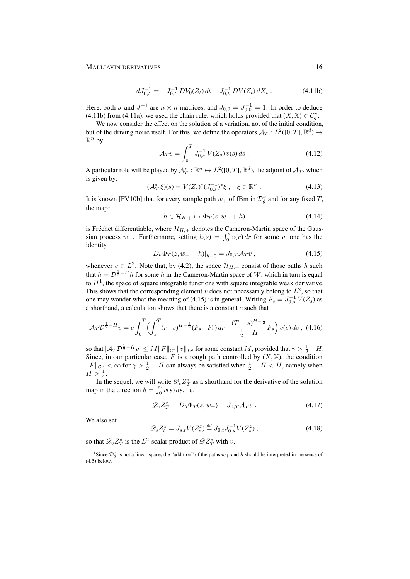#### MALLIAVIN DERIVATIVES 16

$$
dJ_{0,t}^{-1} = -J_{0,t}^{-1} DV_0(Z_t) dt - J_{0,t}^{-1} DV(Z_t) dX_t.
$$
 (4.11b)

Here, both J and  $J^{-1}$  are  $n \times n$  matrices, and  $J_{0,0} = J_{0,0}^{-1} = 1$ . In order to deduce (4.11b) from (4.11a), we used the chain rule, which holds provided that  $(X, \mathbb{X}) \in C_q^{\gamma}$ .

We now consider the effect on the solution of a variation, not of the initial condition, but of the driving noise itself. For this, we define the operators  $\mathcal{A}_T : L^2([0,T], \mathbb{R}^d) \mapsto$  $\mathbb{R}^n$  by

$$
\mathcal{A}_T v = \int_0^T J_{0,s}^{-1} V(Z_s) v(s) \, ds \,. \tag{4.12}
$$

A particular role will be played by  $\mathcal{A}_T^*: \mathbb{R}^n \mapsto L^2([0,T], \mathbb{R}^d)$ , the adjoint of  $\mathcal{A}_T$ , which is given by:

$$
(\mathcal{A}_T^* \xi)(s) = V(Z_s)^* (J_{0,s}^{-1})^* \xi \ , \quad \xi \in \mathbb{R}^n \ . \tag{4.13}
$$

It is known [FV10b] that for every sample path  $w_+$  of fBm in  $\mathcal{D}_g^{\gamma}$  and for any fixed T, the map<sup>1</sup>

$$
h \in \mathcal{H}_{H,+} \mapsto \Phi_T(z, w_+ + h) \tag{4.14}
$$

is Fréchet differentiable, where  $\mathcal{H}_{H,+}$  denotes the Cameron-Martin space of the Gaussian process  $w_+$ . Furthermore, setting  $h(s) = \int_0^s v(r) dr$  for some v, one has the identity

$$
D_h \Phi_T(z, w_+ + h)|_{h=0} = J_{0,T} \mathcal{A}_T v \,, \tag{4.15}
$$

whenever  $v \in L^2$ . Note that, by (4.2), the space  $\mathcal{H}_{H,+}$  consist of those paths h such that  $h = \mathcal{D}^{\frac{1}{2} - H} \tilde{h}$  for some  $\tilde{h}$  in the Cameron-Martin space of W, which in turn is equal to  $H<sup>1</sup>$ , the space of square integrable functions with square integrable weak derivative. This shows that the corresponding element  $v$  does not necessarily belong to  $L^2$ , so that one may wonder what the meaning of (4.15) is in general. Writing  $F_s = J_{0,s}^{-1} V(Z_s)$  as a shorthand, a calculation shows that there is a constant  $c$  such that

$$
\mathcal{A}_T \mathcal{D}^{\frac{1}{2}-H} v = c \int_0^T \left( \int_s^T (r-s)^{H-\frac{3}{2}} (F_s - F_r) \, dr + \frac{(T-s)^{H-\frac{1}{2}}}{\frac{1}{2}-H} F_s \right) v(s) \, ds \;, \tag{4.16}
$$

so that  $|\mathcal{A}_T\mathcal{D}^{\frac{1}{2}-H}v|\leq M\|F\|_{\mathcal{C}^\gamma}\|v\|_{L^2}$  for some constant  $M,$  provided that  $\gamma>\frac{1}{2}-H.$ Since, in our particular case, F is a rough path controlled by  $(X, \mathbb{X})$ , the condition  $||F||_{\mathcal{C}_{\alpha}^{\gamma}} < \infty$  for  $\gamma > \frac{1}{2} - H$  can always be satisfied when  $\frac{1}{2} - H < H$ , namely when  $H > \frac{1}{4}.$ 

In the sequel, we will write  $\mathcal{D}_v Z_T^z$  as a shorthand for the derivative of the solution map in the direction  $h = \int_0^1 v(s) ds$ , i.e.

$$
\mathcal{D}_v Z_T^z = D_h \Phi_T(z, w_+) = J_{0,T} \mathcal{A}_T v . \qquad (4.17)
$$

We also set

$$
\mathcal{D}_s Z_t^z = J_{s,t} V(Z_s^z) \stackrel{\text{def}}{=} J_{0,t} J_{0,s}^{-1} V(Z_s^z) ,\tag{4.18}
$$

so that  $\mathscr{D}_v Z_T^z$  is the  $L^2$ -scalar product of  $\mathscr{D} Z_T^z$  with  $v$ .

<sup>&</sup>lt;sup>1</sup>Since  $\mathcal{D}_{g}^{\gamma}$  is not a linear space, the "addition" of the paths  $w_{+}$  and h should be interpreted in the sense of (4.5) below.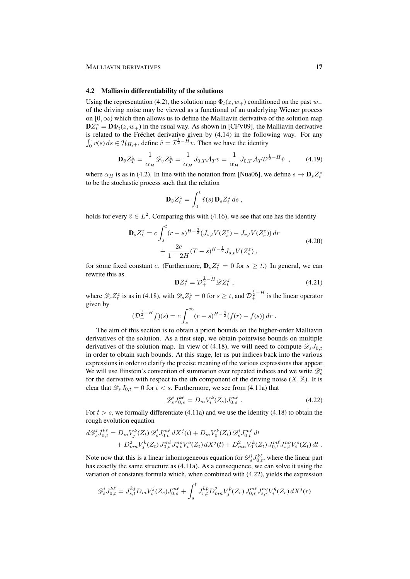#### 4.2 Malliavin differentiability of the solutions

Using the representation (4.2), the solution map  $\Phi_t(z, w_+)$  conditioned on the past w $_$ of the driving noise may be viewed as a functional of an underlying Wiener process on  $[0, \infty)$  which then allows us to define the Malliavin derivative of the solution map  $\mathbf{D}Z_t^z = \mathbf{D}\Phi_t(z, w_+)$  in the usual way. As shown in [CFV09], the Malliavin derivative is related to the Fréchet derivative given by (4.14) in the following way. For any  $\int_0^{\cdot} v(s) ds \in \mathcal{H}_{H,+}$ , define  $\tilde{v} = \mathcal{I}^{\frac{1}{2} - \tilde{H}} v$ . Then we have the identity

$$
\mathbf{D}_{\tilde{v}}Z_T^z = \frac{1}{\alpha_H} \mathcal{D}_v Z_T^z = \frac{1}{\alpha_H} J_{0,T} \mathcal{A}_T v = \frac{1}{\alpha_H} J_{0,T} \mathcal{A}_T \mathcal{D}^{\frac{1}{2} - H} \tilde{v} \quad , \tag{4.19}
$$

where  $\alpha_H$  is as in (4.2). In line with the notation from [Nua06], we define  $s \mapsto \mathbf{D}_s Z_t^z$ to be the stochastic process such that the relation

$$
\mathbf{D}_{\tilde{v}}Z_t^z = \int_0^t \tilde{v}(s) \, \mathbf{D}_s Z_t^z \, ds \;,
$$

holds for every  $\tilde{v} \in L^2$ . Comparing this with (4.16), we see that one has the identity

$$
\mathbf{D}_s Z_t^z = c \int_s^t (r - s)^{H - \frac{3}{2}} (J_{s,t} V(Z_s^z) - J_{r,t} V(Z_r^z)) dr + \frac{2c}{1 - 2H} (T - s)^{H - \frac{1}{2}} J_{s,t} V(Z_s^z) ,
$$
\n(4.20)

for some fixed constant c. (Furthermore,  $\mathbf{D}_s Z_t^z = 0$  for  $s \geq t$ .) In general, we can rewrite this as

$$
\mathbf{D}Z_t^z = \mathcal{D}_+^{\frac{1}{2}-H} \mathscr{D}Z_t^z \,, \tag{4.21}
$$

where  $\mathscr{D}_s Z_t^z$  is as in (4.18), with  $\mathscr{D}_s Z_t^z = 0$  for  $s \ge t$ , and  $\mathcal{D}_+^{\frac{1}{2}-H}$  is the linear operator given by

$$
(\mathcal{D}_+^{\frac{1}{2}-H}f)(s) = c \int_s^{\infty} (r-s)^{H-\frac{3}{2}} (f(r) - f(s)) dr.
$$

The aim of this section is to obtain a priori bounds on the higher-order Malliavin derivatives of the solution. As a first step, we obtain pointwise bounds on multiple derivatives of the solution map. In view of (4.18), we will need to compute  $\mathscr{D}_s J_{0,t}$ in order to obtain such bounds. At this stage, let us put indices back into the various expressions in order to clarify the precise meaning of the various expressions that appear. We will use Einstein's convention of summation over repeated indices and we write  $\mathscr{D}_s^i$ for the derivative with respect to the *i*th component of the driving noise  $(X, \mathbb{X})$ . It is clear that  $\mathscr{D}_s J_{0,t} = 0$  for  $t < s$ . Furthermore, we see from (4.11a) that

$$
\mathcal{D}_s^i J_{0,s}^{k\ell} = D_m V_i^k(Z_s) J_{0,s}^{m\ell} \tag{4.22}
$$

For  $t > s$ , we formally differentiate (4.11a) and we use the identity (4.18) to obtain the rough evolution equation

$$
d\mathscr{D}_{s}^{i}J_{0,t}^{k\ell} = D_{m}V_{j}^{k}(Z_{t})\mathscr{D}_{s}^{i}J_{0,t}^{m\ell}dX^{j}(t) + D_{m}V_{0}^{k}(Z_{t})\mathscr{D}_{s}^{i}J_{0,t}^{m\ell}dt + D_{mn}^{2}V_{j}^{k}(Z_{t})J_{0,t}^{m\ell}J_{s,t}^{no}V_{i}^{o}(Z_{t})dX^{j}(t) + D_{mn}^{2}V_{0}^{k}(Z_{t})J_{0,t}^{m\ell}J_{s,t}^{no}V_{i}^{o}(Z_{t})dt.
$$

Note now that this is a linear inhomogeneous equation for  $\mathscr{D}_{s}^{i}J_{0,t}^{k\ell}$ , where the linear part has exactly the same structure as (4.11a). As a consequence, we can solve it using the variation of constants formula which, when combined with (4.22), yields the expression

$$
\mathscr{D}_{s}^{i} J_{0,t}^{k\ell} = J_{s,t}^{k j} D_{m} V_{i}^{j} (Z_{s}) J_{0,s}^{m\ell} + \int_{s}^{t} J_{r,t}^{k p} D_{mn}^{2} V_{j}^{p} (Z_{r}) J_{0,r}^{m\ell} J_{s,r}^{nq} V_{i}^{q} (Z_{r}) dX^{j}(r)
$$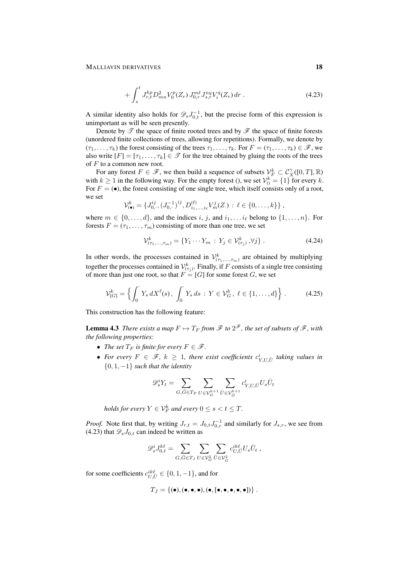#### MALLIAVIN DERIVATIVES 18

$$
+\int_{s}^{t} J_{r,t}^{kp} D_{mn}^{2} V_{0}^{p}(Z_{r}) J_{0,r}^{m\ell} J_{s,r}^{nq} V_{i}^{q}(Z_{r}) dr . \qquad (4.23)
$$

A similar identity also holds for  $\mathscr{D}_s J_{0,t}^{-1}$ , but the precise form of this expression is unimportant as will be seen presently.

Denote by  $\mathscr T$  the space of finite rooted trees and by  $\mathscr F$  the space of finite forests (unordered finite collections of trees, allowing for repetitions). Formally, we denote by  $(\tau_1, \ldots, \tau_k)$  the forest consisting of the trees  $\tau_1, \ldots, \tau_k$ . For  $F = (\tau_1, \ldots, \tau_k) \in \mathcal{F}$ , we also write  $[F] = [\tau_1, \ldots, \tau_k] \in \mathcal{T}$  for the tree obtained by gluing the roots of the trees of  $F$  to a common new root.

For any forest  $F \in \mathscr{F}$ , we then build a sequence of subsets  $\mathcal{V}_F^k \subset \mathcal{C}_X^{\gamma}([0,T], \mathbb{R})$ with  $k \ge 1$  in the following way. For the empty forest (), we set  $\mathcal{V}_0^k = \{1\}$  for every k. For  $F = (•)$ , the forest consisting of one single tree, which itself consists only of a root, we set

$$
\mathcal{V}_{(\bullet)}^k = \{J_{0,\cdot}^{ij}, (J_{0,\cdot}^{-1})^{ij}, D_{i_1,\dots,i_\ell}^{(\ell)} V_m^j(Z) : \ell \in \{0,\dots,k\}\},\,
$$

where  $m \in \{0, \ldots, d\}$ , and the indices i, j, and  $i_1, \ldots i_\ell$  belong to  $\{1, \ldots, n\}$ . For forests  $F = (\tau_1, \ldots, \tau_m)$  consisting of more than one tree, we set

$$
\mathcal{V}_{(\tau_1,...,\tau_m)}^k = \{ Y_1 \cdots Y_m : Y_j \in \mathcal{V}_{(\tau_j)}^k, \forall j \}.
$$
 (4.24)

In other words, the processes contained in  $\mathcal{V}^k_{(\tau_1,\ldots,\tau_m)}$  are obtained by multiplying together the processes contained in  $\mathcal{V}^k_{(\tau_j)}$ . Finally, if F consists of a single tree consisting of more than just one root, so that  $F = [G]$  for some forest G, we set

$$
\mathcal{V}_{[G]}^k = \left\{ \int_0^{\cdot} Y_s \, dX^{\ell}(s), \, \int_0^{\cdot} Y_s \, ds \, : \, Y \in \mathcal{V}_G^k, \, \ell \in \{1, \dots, d\} \right\} \, . \tag{4.25}
$$

This construction has the following feature:

**Lemma 4.3** There exists a map  $F \mapsto T_F$  from  $\mathscr F$  to  $2^\mathscr F$ , the set of subsets of  $\mathscr F$ , with *the following properties:*

- *The set*  $T_F$  *is finite for every*  $F \in \mathcal{F}$ *.*
- For every  $F \in \mathscr{F}$ ,  $k \geq 1$ , there exist coefficients  $c_{Y,U,\bar{U}}^i$  taking values in {0, 1, −1} *such that the identity*

$$
\mathscr{D}_s^iY_t = \sum_{G,\bar{G}\in T_F}\sum_{U\in \mathcal{V}_G^{k+1}}\sum_{\bar{U}\in \mathcal{V}_{\bar{G}}^{k+1}}c_{Y,U,\bar{U}}^iU_s\bar{U}_t
$$

*holds for every*  $Y \in \mathcal{V}_F^k$  and every  $0 \leq s < t \leq T$ .

*Proof.* Note first that, by writing  $J_{r,t} = J_{0,t} J_{0,r}^{-1}$  and similarly for  $J_{s,r}$ , we see from (4.23) that  $\mathscr{D}_sJ_{0,t}$  can indeed be written as

$$
\mathscr{D}_s^i J_{0,t}^{k\ell} = \sum_{G,\bar{G} \in T_J} \sum_{U \in \mathcal{V}_G^2} \sum_{\bar{U} \in \mathcal{V}_G^2} c_{U,\bar{U}}^{ik\ell} U_s \bar{U}_t ,
$$

for some coefficients  $c_{U,\bar{U}}^{ik\ell} \in \{0,1,-1\}$ , and for

$$
T_J=\{(\bullet),(\bullet,\bullet,\bullet),(\bullet,[\bullet,\bullet,\bullet,\bullet,\bullet])\}\;.
$$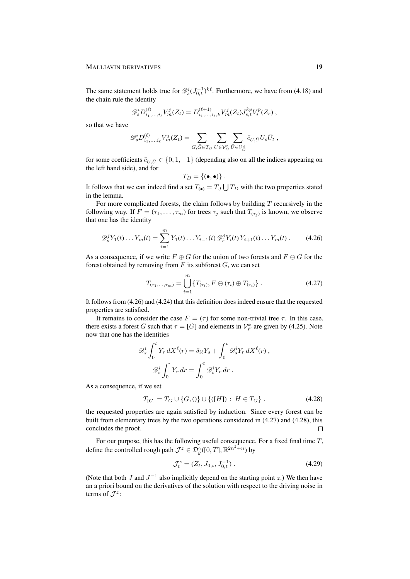The same statement holds true for  $\mathscr{D}_{s}^{i}(J_{0,t}^{-1})^{k\ell}$ . Furthermore, we have from (4.18) and the chain rule the identity

$$
\mathscr{D}_{s}^{i}D_{i_{1},...,i_{\ell}}^{(\ell)}V_{m}^{j}(Z_{t})=D_{i_{1},...,i_{\ell},k}^{(\ell+1)}V_{m}^{j}(Z_{t})J_{s,t}^{kp}V_{i}^{p}(Z_{s}),
$$

so that we have

$$
\mathscr{D}_s^{i} D_{i_1,...,i_\ell}^{(\ell)} V_m^j(Z_t) = \sum_{G,\bar{G} \in T_D} \sum_{U \in \mathcal{V}_G^2} \sum_{\bar{U} \in \mathcal{V}_G^2} \bar{c}_{U,\bar{U}} U_s \bar{U}_t \;,
$$

for some coefficients  $\bar{c}_{U,\bar{U}} \in \{0,1,-1\}$  (depending also on all the indices appearing on the left hand side), and for

$$
T_D = \{(\bullet, \bullet)\}.
$$

It follows that we can indeed find a set  $T_{\text{(\bullet)}} = T_J \bigcup T_D$  with the two properties stated in the lemma.

For more complicated forests, the claim follows by building  $T$  recursively in the following way. If  $F = (\tau_1, \dots, \tau_m)$  for trees  $\tau_j$  such that  $T_{(\tau_j)}$  is known, we observe that one has the identity

$$
\mathscr{D}_s^j Y_1(t) \dots Y_m(t) = \sum_{i=1}^m Y_1(t) \dots Y_{i-1}(t) \mathscr{D}_s^j Y_i(t) Y_{i+1}(t) \dots Y_m(t) . \tag{4.26}
$$

As a consequence, if we write  $F \oplus G$  for the union of two forests and  $F \ominus G$  for the forest obtained by removing from  $F$  its subforest  $G$ , we can set

$$
T_{(\tau_1,\ldots,\tau_m)} = \bigcup_{i=1}^m \{T_{(\tau_i)}, F \ominus (\tau_i) \oplus T_{(\tau_i)}\}.
$$
 (4.27)

It follows from (4.26) and (4.24) that this definition does indeed ensure that the requested properties are satisfied.

It remains to consider the case  $F = (\tau)$  for some non-trivial tree  $\tau$ . In this case, there exists a forest G such that  $\tau = [G]$  and elements in  $\mathcal{V}_F^k$  are given by (4.25). Note now that one has the identities

$$
\mathscr{D}_s^i \int_0^t Y_r \, dX^\ell(r) = \delta_{i\ell} Y_s + \int_0^t \mathscr{D}_s^i Y_r \, dX^\ell(r) ,
$$

$$
\mathscr{D}_s^i \int_0^{\cdot} Y_r \, dr = \int_0^t \mathscr{D}_s^i Y_r \, dr .
$$

As a consequence, if we set

$$
T_{[G]} = T_G \cup \{G, 0\} \cup \{([H]) : H \in T_G\}.
$$
\n(4.28)

the requested properties are again satisfied by induction. Since every forest can be built from elementary trees by the two operations considered in (4.27) and (4.28), this concludes the proof.  $\Box$ 

For our purpose, this has the following useful consequence. For a fixed final time T, define the controlled rough path  $\mathcal{J}^z \in \mathcal{D}^\gamma_g([0,T], \mathbb{R}^{2n^2+n})$  by

$$
\mathcal{J}_t^z = (Z_t, J_{0,t}, J_{0,t}^{-1}). \tag{4.29}
$$

(Note that both  $J$  and  $J^{-1}$  also implicitly depend on the starting point  $z$ .) We then have an a priori bound on the derivatives of the solution with respect to the driving noise in terms of  $\mathcal{J}^z$ :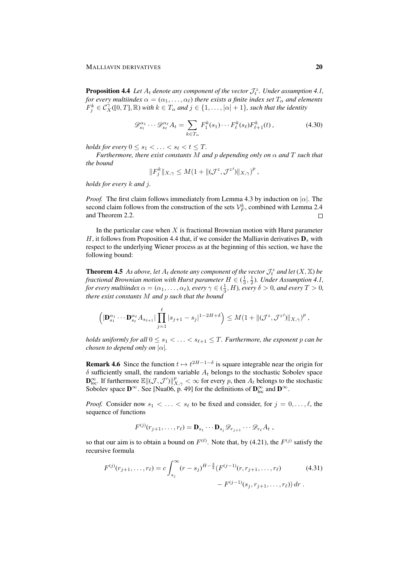**Proposition 4.4** Let  $A_t$  denote any component of the vector  $\mathcal{J}_t^z$ . Under assumption 4.1, *for every multiindex*  $\alpha = (\alpha_1, \dots, \alpha_\ell)$  *there exists a finite index set*  $T_\alpha$  *and elements*  $F_j^k \in \mathcal{C}_X^{\gamma}([0,T],\mathbb{R})$  *with*  $k \in T_\alpha$  *and*  $j \in \{1,\ldots,|\alpha|+1\}$ *, such that the identity* 

$$
\mathscr{D}_{s_1}^{\alpha_1} \cdots \mathscr{D}_{s_\ell}^{\alpha_\ell} A_t = \sum_{k \in T_\alpha} F_1^k(s_1) \cdots F_\ell^k(s_\ell) F_{\ell+1}^k(t) ,\qquad(4.30)
$$

*holds for every*  $0 \leq s_1 < \ldots < s_\ell < t \leq T$ .

*Furthermore, there exist constants* M *and* p *depending only on*  $\alpha$  *and* T *such that the bound*

$$
||F_j^k||_{X,\gamma} \leq M(1+||(\mathcal{J}^z,\mathcal{J}^{z'})||_{X,\gamma})^p,
$$

*holds for every* k *and* j*.*

*Proof.* The first claim follows immediately from Lemma 4.3 by induction on  $|\alpha|$ . The second claim follows from the construction of the sets  $\mathcal{V}_F^k$ , combined with Lemma 2.4 and Theorem 2.2.  $\Box$ 

In the particular case when  $X$  is fractional Brownian motion with Hurst parameter H, it follows from Proposition 4.4 that, if we consider the Malliavin derivatives  $\mathbf{D}_s$  with respect to the underlying Wiener process as at the beginning of this section, we have the following bound:

**Theorem 4.5** As above, let  $A_t$  denote any component of the vector  $\mathcal{J}_t^z$  and let  $(X, \mathbb{X})$  be fractional Brownian motion with Hurst parameter  $H \in (\frac{1}{3},\frac{1}{2})$ . Under Assumption 4.1, *for every multiindex*  $\alpha = (\alpha_1, \dots, \alpha_\ell)$ *, every*  $\gamma \in (\frac{1}{3}, H)$ *, every*  $\delta > 0$ *, and every*  $T > 0$ *, there exist constants* M *and* p *such that the bound*

$$
\left( |\mathbf{D}_{s_1}^{\alpha_1} \cdots \mathbf{D}_{s_\ell}^{\alpha_\ell} A_{s_{\ell+1}}| \prod_{j=1}^\ell |s_{j+1} - s_j|^{1-2H+\delta} \right) \leq M (1 + \|(\mathcal{J}^z, \mathcal{J}^z')\|_{X,\gamma})^p,
$$

*holds uniformly for all*  $0 \leq s_1 < \ldots < s_{\ell+1} \leq T$ . Furthermore, the exponent p can be *chosen to depend only on*  $|\alpha|$ *.* 

**Remark 4.6** Since the function  $t \mapsto t^{2H-1-\delta}$  is square integrable near the origin for  $\delta$  sufficiently small, the random variable  $A_t$  belongs to the stochastic Sobolev space  $\mathbf{D}_{\text{loc}}^{\infty}$ . If furthermore  $\mathbb{E} \Vert (\mathcal{J}, \mathcal{J}') \Vert_{X,\gamma}^p < \infty$  for every p, then  $A_t$  belongs to the stochastic Sobolev space  $\mathbf{D}^{\infty}$ . See [Nua06, p. 49] for the definitions of  $\mathbf{D}^{\infty}_{\text{loc}}$  and  $\mathbf{D}^{\infty}$ .

*Proof.* Consider now  $s_1 < \ldots < s_\ell$  to be fixed and consider, for  $j = 0, \ldots, \ell$ , the sequence of functions

$$
F^{(j)}(r_{j+1},\ldots,r_\ell)=\mathbf{D}_{s_1}\cdots\mathbf{D}_{s_j}\mathscr{D}_{r_{j+1}}\cdots\mathscr{D}_{r_\ell}A_t,
$$

so that our aim is to obtain a bound on  $F^{(\ell)}$ . Note that, by (4.21), the  $F^{(j)}$  satisfy the recursive formula

$$
F^{(j)}(r_{j+1},\ldots,r_{\ell}) = c \int_{s_j}^{\infty} (r-s_j)^{H-\frac{3}{2}} (F^{(j-1)}(r,r_{j+1},\ldots,r_{\ell})
$$
(4.31)
$$
- F^{(j-1)}(s_j,r_{j+1},\ldots,r_{\ell}) dr.
$$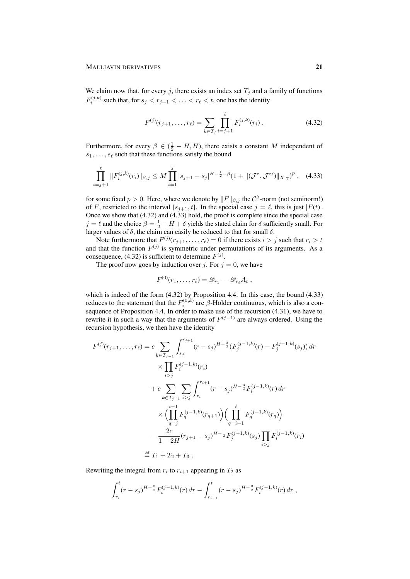We claim now that, for every j, there exists an index set  $T_j$  and a family of functions  $F_i^{(j,k)}$  such that, for  $s_j < r_{j+1} < \ldots < r_\ell < t$ , one has the identity

$$
F^{(j)}(r_{j+1},\ldots,r_\ell) = \sum_{k \in T_j} \prod_{i=j+1}^{\ell} F_i^{(j,k)}(r_i).
$$
 (4.32)

Furthermore, for every  $\beta \in (\frac{1}{2} - H, H)$ , there exists a constant M independent of  $s_1, \ldots, s_\ell$  such that these functions satisfy the bound

$$
\prod_{i=j+1}^{\ell} \|F_i^{(j,k)}(r_i)\|_{\beta,j} \le M \prod_{i=1}^j |s_{j+1} - s_j|^{H - \frac{1}{2} - \beta} (1 + \|(\mathcal{J}^z, \mathcal{J}^{z'})\|_{X,\gamma})^p , \quad (4.33)
$$

for some fixed  $p > 0$ . Here, where we denote by  $||F||_{\beta,j}$  the  $C^{\beta}$ -norm (not seminorm!) of F, restricted to the interval  $[s_{i+1}, t]$ . In the special case  $j = \ell$ , this is just  $|F(t)|$ . Once we show that (4.32) and (4.33) hold, the proof is complete since the special case  $j = \ell$  and the choice  $\beta = \frac{1}{2} - H + \delta$  yields the stated claim for  $\delta$  sufficiently small. For larger values of  $\delta$ , the claim can easily be reduced to that for small  $\delta$ .

Note furthermore that  $F^{(j)}(r_{j+1}, \ldots, r_\ell) = 0$  if there exists  $i > j$  such that  $r_i > t$ and that the function  $F^{(j)}$  is symmetric under permutations of its arguments. As a consequence, (4.32) is sufficient to determine  $F^{(j)}$ .

The proof now goes by induction over j. For  $j = 0$ , we have

$$
F^{(0)}(r_1,\ldots,r_\ell)=\mathscr{D}_{r_1}\cdots\mathscr{D}_{r_\ell}A_t\;,
$$

which is indeed of the form (4.32) by Proposition 4.4. In this case, the bound (4.33) reduces to the statement that the  $F_i^{(0,k)}$  are  $\beta$ -Hölder continuous, which is also a consequence of Proposition 4.4. In order to make use of the recursion (4.31), we have to rewrite it in such a way that the arguments of  $F^{(j-1)}$  are always ordered. Using the recursion hypothesis, we then have the identity

$$
F^{(j)}(r_{j+1},\ldots,r_{\ell}) = c \sum_{k \in T_{j-1}} \int_{s_j}^{r_{j+1}} (r-s_j)^{H-\frac{3}{2}} (F_j^{(j-1,k)}(r) - F_j^{(j-1,k)}(s_j)) dr
$$
  

$$
\times \prod_{i>j} F_i^{(j-1,k)}(r_i)
$$
  
+ 
$$
c \sum_{k \in T_{j-1}} \sum_{i>j} \int_{r_i}^{r_{i+1}} (r-s_j)^{H-\frac{3}{2}} F_i^{(j-1,k)}(r) dr
$$
  

$$
\times \Biggl( \prod_{q=j}^{i-1} F_q^{(j-1,k)}(r_{q+1}) \Biggr) \Biggl( \prod_{q=i+1}^{\ell} F_q^{(j-1,k)}(r_q) \Biggr)
$$
  
- 
$$
\frac{2c}{1-2H} (r_{j+1}-s_j)^{H-\frac{1}{2}} F_j^{(j-1,k)}(s_j) \prod_{i>j} F_i^{(j-1,k)}(r_i)
$$
  

$$
\stackrel{\text{def}}{=} T_1 + T_2 + T_3.
$$

Rewriting the integral from  $r_i$  to  $r_{i+1}$  appearing in  $T_2$  as

$$
\int_{r_i}^t (r-s_j)^{H-\frac{3}{2}} F_i^{(j-1,k)}(r) dr - \int_{r_{i+1}}^t (r-s_j)^{H-\frac{3}{2}} F_i^{(j-1,k)}(r) dr,
$$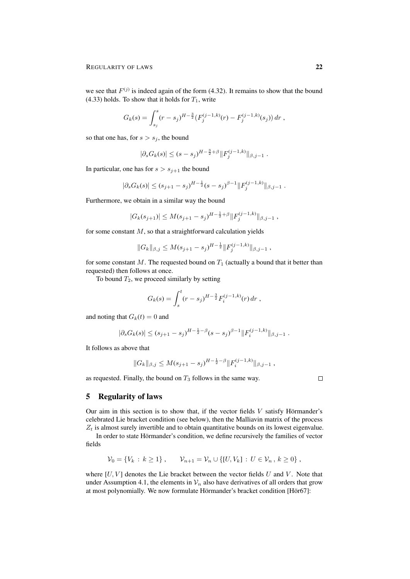we see that  $F^{(j)}$  is indeed again of the form (4.32). It remains to show that the bound (4.33) holds. To show that it holds for  $T_1$ , write

$$
G_k(s) = \int_{s_j}^s (r - s_j)^{H - \frac{3}{2}} \left( F_j^{(j-1,k)}(r) - F_j^{(j-1,k)}(s_j) \right) dr,
$$

so that one has, for  $s > s_j$ , the bound

$$
|\partial_s G_k(s)| \le (s - s_j)^{H - \frac{3}{2} + \beta} ||F_j^{(j-1,k)}||_{\beta, j-1}.
$$

In particular, one has for  $s > s_{j+1}$  the bound

$$
|\partial_s G_k(s)| \le (s_{j+1} - s_j)^{H-\frac{1}{2}}(s - s_j)^{\beta-1} ||F_j^{(j-1,k)}||_{\beta, j-1}.
$$

Furthermore, we obtain in a similar way the bound

$$
|G_k(s_{j+1})| \leq M(s_{j+1} - s_j)^{H - \frac{1}{2} + \beta} ||F_j^{(j-1,k)}||_{\beta, j-1},
$$

for some constant  $M$ , so that a straightforward calculation yields

$$
||G_k||_{\beta,j} \leq M(s_{j+1} - s_j)^{H - \frac{1}{2}} ||F_j^{(j-1,k)}||_{\beta,j-1},
$$

for some constant M. The requested bound on  $T_1$  (actually a bound that it better than requested) then follows at once.

To bound  $T_2$ , we proceed similarly by setting

$$
G_k(s) = \int_s^t (r - s_j)^{H - \frac{3}{2}} F_i^{(j-1,k)}(r) dr,
$$

and noting that  $G_k(t) = 0$  and

$$
|\partial_s G_k(s)| \le (s_{j+1} - s_j)^{H - \frac{1}{2} - \beta} (s - s_j)^{\beta - 1} ||F_i^{(j-1,k)}||_{\beta, j-1}.
$$

It follows as above that

$$
||G_k||_{\beta,j} \leq M(s_{j+1} - s_j)^{H - \frac{1}{2} - \beta} ||F_i^{(j-1,k)}||_{\beta,j-1},
$$

as requested. Finally, the bound on  $T_3$  follows in the same way.

 $\Box$ 

## 5 Regularity of laws

Our aim in this section is to show that, if the vector fields  $V$  satisfy Hörmander's celebrated Lie bracket condition (see below), then the Malliavin matrix of the process  $Z_t$  is almost surely invertible and to obtain quantitative bounds on its lowest eigenvalue.

In order to state Hörmander's condition, we define recursively the families of vector fields

$$
\mathcal{V}_0 = \{ V_k : k \ge 1 \}, \qquad \mathcal{V}_{n+1} = \mathcal{V}_n \cup \{ [U, V_k] : U \in \mathcal{V}_n, k \ge 0 \},
$$

where  $[U, V]$  denotes the Lie bracket between the vector fields U and V. Note that under Assumption 4.1, the elements in  $V_n$  also have derivatives of all orders that grow at most polynomially. We now formulate Hörmander's bracket condition [Hör67]: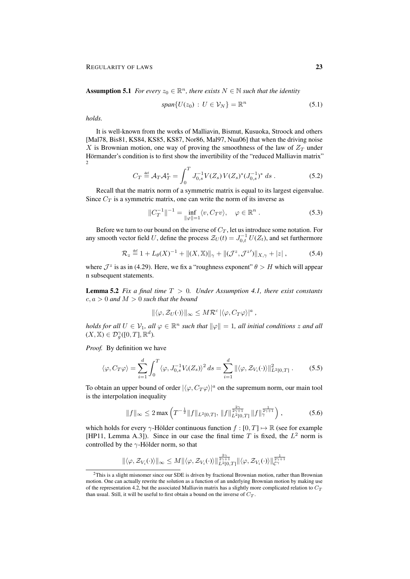**Assumption 5.1** *For every*  $z_0 \in \mathbb{R}^n$ , there exists  $N \in \mathbb{N}$  such that the identity

$$
span{U(z_0) : U \in \mathcal{V}_N} = \mathbb{R}^n
$$
\n(5.1)

*holds.*

It is well-known from the works of Malliavin, Bismut, Kusuoka, Stroock and others [Mal78, Bis81, KS84, KS85, KS87, Nor86, Mal97, Nua06] that when the driving noise X is Brownian motion, one way of proving the smoothness of the law of  $Z_T$  under Hörmander's condition is to first show the invertibility of the "reduced Malliavin matrix" 2

$$
C_T \stackrel{\text{def}}{=} \mathcal{A}_T \mathcal{A}_T^* = \int_0^T J_{0,s}^{-1} V(Z_s) V(Z_s)^* (J_{0,s}^{-1})^* ds . \tag{5.2}
$$

Recall that the matrix norm of a symmetric matrix is equal to its largest eigenvalue. Since  $C_T$  is a symmetric matrix, one can write the norm of its inverse as

$$
||C_T^{-1}||^{-1} = \inf_{||\varphi||=1} \langle v, C_T v \rangle, \quad \varphi \in \mathbb{R}^n .
$$
 (5.3)

Before we turn to our bound on the inverse of  $C_T$ , let us introduce some notation. For any smooth vector field U, define the process  $\mathcal{Z}_U(t) = J_{0,t}^{-1} U(Z_t)$ , and set furthermore

$$
\mathcal{R}_z \stackrel{\text{def}}{=} 1 + L_\theta(X)^{-1} + \|(X, \mathbb{X})\|_{\gamma} + \|(J^z, \mathcal{J}^{z'})\|_{X, \gamma} + |z|, \tag{5.4}
$$

where  $\mathcal{J}^z$  is as in (4.29). Here, we fix a "roughness exponent"  $\theta > H$  which will appear n subsequent statements.

Lemma 5.2 *Fix a final time* T > 0*. Under Assumption 4.1, there exist constants*  $c, a > 0$  *and*  $M > 0$  *such that the bound* 

$$
\|\langle \varphi, \mathcal{Z}_U(\cdot)\rangle\|_{\infty} \leq M\mathcal{R}^c \, |\langle \varphi, C_T\varphi \rangle|^a ,
$$

*holds for all*  $U \in V_1$ , all  $\varphi \in \mathbb{R}^n$  such that  $\|\varphi\| = 1$ , all initial conditions z and all  $(X, \mathbb{X}) \in \mathcal{D}_g^{\gamma}([0, T], \mathbb{R}^d).$ 

*Proof.* By definition we have

$$
\langle \varphi, C_T \varphi \rangle = \sum_{i=1}^d \int_0^T \langle \varphi, J_{0,s}^{-1} V_i(Z_s) \rangle^2 ds = \sum_{i=1}^d \|\langle \varphi, \mathcal{Z}_{V_i}(\cdot) \rangle\|_{L^2[0,T]}^2.
$$
 (5.5)

To obtain an upper bound of order  $|\langle \varphi, C_T \varphi \rangle|^a$  on the supremum norm, our main tool is the interpolation inequality

$$
||f||_{\infty} \le 2 \max \left( T^{-\frac{1}{2}} ||f||_{L^{2}[0,T]}, \, ||f||_{L^{2}[0,T]}^{\frac{2\gamma}{2\gamma+1}} ||f||_{\gamma}^{\frac{1}{2\gamma+1}} \right), \tag{5.6}
$$

which holds for every  $\gamma$ -Hölder continuous function  $f : [0, T] \mapsto \mathbb{R}$  (see for example [HP11, Lemma A.3]). Since in our case the final time T is fixed, the  $L^2$  norm is controlled by the  $\gamma$ -Hölder norm, so that

$$
\|\langle \varphi, \mathcal{Z}_{V_i}(\cdot)\rangle\|_\infty \leq M \|\langle \varphi, \mathcal{Z}_{V_i}(\cdot)\rangle\|^{\frac{2\gamma}{2\gamma+1}}_{L^2[0,T]} \| \langle \varphi, \mathcal{Z}_{V_i}(\cdot)\rangle\|^{\frac{1}{2\gamma+1}}_{\mathcal{C}^\gamma}
$$

<sup>2</sup>This is a slight misnomer since our SDE is driven by fractional Brownian motion, rather than Brownian motion. One can actually rewrite the solution as a function of an underlying Brownian motion by making use of the representation 4.2, but the associated Malliavin matrix has a slightly more complicated relation to  $C_T$ than usual. Still, it will be useful to first obtain a bound on the inverse of  $C_T$ .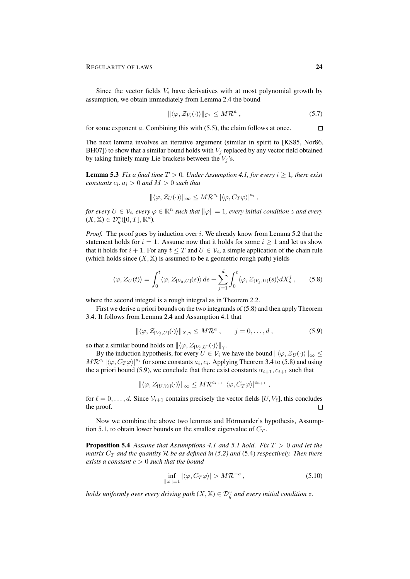Since the vector fields  $V_i$  have derivatives with at most polynomial growth by assumption, we obtain immediately from Lemma 2.4 the bound

$$
\|\langle \varphi, \mathcal{Z}_{V_i}(\cdot) \rangle\|_{\mathcal{C}^\gamma} \le M\mathcal{R}^a ,\qquad(5.7)
$$

for some exponent  $a$ . Combining this with  $(5.5)$ , the claim follows at once.  $\Box$ 

The next lemma involves an iterative argument (similar in spirit to [KS85, Nor86, BH07]) to show that a similar bound holds with  $V_i$  replaced by any vector field obtained by taking finitely many Lie brackets between the  $V_j$ 's.

**Lemma 5.3** *Fix a final time*  $T > 0$ *. Under Assumption 4.1, for every*  $i \ge 1$ *, there exist*  $constants\ c_i, a_i > 0$  and  $M > 0$  such that

$$
\|\langle \varphi, \mathcal{Z}_U(\cdot)\rangle\|_{\infty} \leq M\mathcal{R}^{c_i} \|\langle \varphi, C_T\varphi\rangle\|^{a_i},
$$

*for every*  $U \in \mathcal{V}_i$ , every  $\varphi \in \mathbb{R}^n$  such that  $\|\varphi\| = 1$ , every initial condition z and every  $(X, \mathbb{X}) \in \mathcal{D}^{\gamma}_g([0,T], \mathbb{R}^d).$ 

*Proof.* The proof goes by induction over i. We already know from Lemma 5.2 that the statement holds for  $i = 1$ . Assume now that it holds for some  $i \ge 1$  and let us show that it holds for  $i + 1$ . For any  $t \leq T$  and  $U \in \mathcal{V}_i$ , a simple application of the chain rule (which holds since  $(X, \mathbb{X})$  is assumed to be a geometric rough path) yields

$$
\langle \varphi, \mathcal{Z}_U(t) \rangle = \int_0^t \langle \varphi, \mathcal{Z}_{[V_0, U]}(s) \rangle \, ds + \sum_{j=1}^d \int_0^t \langle \varphi, \mathcal{Z}_{[V_j, U]}(s) \rangle dX_s^j \,, \tag{5.8}
$$

where the second integral is a rough integral as in Theorem 2.2.

First we derive a priori bounds on the two integrands of (5.8) and then apply Theorem 3.4. It follows from Lemma 2.4 and Assumption 4.1 that

$$
\|\langle \varphi, \mathcal{Z}_{[V_j, U]}(\cdot) \rangle\|_{X, \gamma} \le M \mathcal{R}^a, \qquad j = 0, \dots, d \,, \tag{5.9}
$$

so that a similar bound holds on  $\|\langle \varphi, \mathcal{Z}_{[V_i, U]}(\cdot)\rangle\|_{\gamma}$ .

By the induction hypothesis, for every  $U \in V_i$  we have the bound  $\|\langle \varphi, \mathcal{Z}_U(\cdot)\rangle\|_{\infty} \leq$  $MR^{c_i} \left[ \langle \varphi, C_T \varphi \rangle \right]^{a_i}$  for some constants  $a_i, c_i$ . Applying Theorem 3.4 to (5.8) and using the a priori bound (5.9), we conclude that there exist constants  $\alpha_{i+1}, c_{i+1}$  such that

$$
\| \langle \varphi, \mathcal{Z}_{[U, V_{\ell}]} (\cdot) \rangle \|_{\infty} \leq M \mathcal{R}^{c_{i+1}} \left| \langle \varphi, C_T \varphi \rangle \right|^{\alpha_{i+1}}
$$

for  $\ell = 0, \ldots, d$ . Since  $\mathcal{V}_{i+1}$  contains precisely the vector fields  $[U, V_{\ell}]$ , this concludes the proof.  $\Box$ 

Now we combine the above two lemmas and Hörmander's hypothesis, Assumption 5.1, to obtain lower bounds on the smallest eigenvalue of  $C_T$ .

Proposition 5.4 *Assume that Assumptions 4.1 and 5.1 hold. Fix* T > 0 *and let the matrix*  $C_T$  *and the quantity* R *be as defined in* (5.2) *and* (5.4) *respectively. Then there exists a constant*  $c > 0$  *such that the bound* 

$$
\inf_{\|\varphi\|=1} |\langle \varphi, C_T \varphi \rangle| > M \mathcal{R}^{-c},\tag{5.10}
$$

,

*holds uniformly over every driving path*  $(X, \mathbb{X}) \in \mathcal{D}_g^{\gamma}$  and every initial condition z.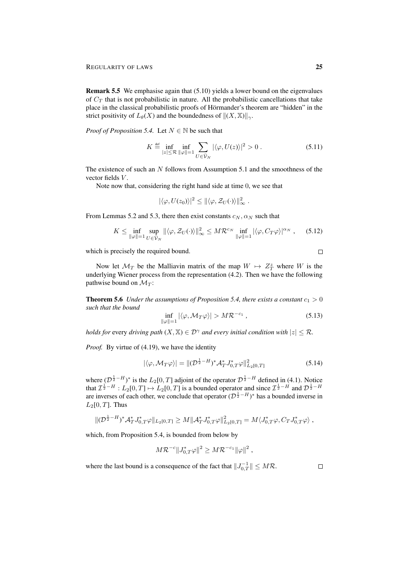Remark 5.5 We emphasise again that (5.10) yields a lower bound on the eigenvalues of  $C_T$  that is not probabilistic in nature. All the probabilistic cancellations that take place in the classical probabilistic proofs of Hörmander's theorem are "hidden" in the strict positivity of  $L_{\theta}(X)$  and the boundedness of  $||(X, \mathbb{X})||_{\gamma}$ .

*Proof of Proposition 5.4.* Let  $N \in \mathbb{N}$  be such that

$$
K \stackrel{\text{def}}{=} \inf_{|z| \le \mathcal{R}} \inf_{\|\varphi\|=1} \sum_{U \in \bar{\mathcal{V}}_N} |\langle \varphi, U(z) \rangle|^2 > 0. \tag{5.11}
$$

The existence of such an  $N$  follows from Assumption 5.1 and the smoothness of the vector fields V.

Note now that, considering the right hand side at time 0, we see that

$$
|\langle \varphi, U(z_0)\rangle|^2 \leq ||\langle \varphi, \mathcal{Z}_U(\cdot)\rangle||^2_{\infty}.
$$

From Lemmas 5.2 and 5.3, there then exist constants  $c_N$ ,  $\alpha_N$  such that

$$
K \leq \inf_{\|\varphi\|=1} \sup_{U \in \bar{\mathcal{V}}_N} \| \langle \varphi, \mathcal{Z}_U(\cdot) \rangle \|_{\infty}^2 \leq M \mathcal{R}^{c_N} \inf_{\|\varphi\|=1} | \langle \varphi, C_T \varphi \rangle |^{\alpha_N}, \quad (5.12)
$$

which is precisely the required bound.

Now let  $\mathcal{M}_T$  be the Malliavin matrix of the map  $W \mapsto Z_T^z$  where W is the underlying Wiener process from the representation (4.2). Then we have the following pathwise bound on  $\mathcal{M}_T$ :

**Theorem 5.6** *Under the assumptions of Proposition 5.4, there exists a constant*  $c_1 > 0$ *such that the bound*

$$
\inf_{\|\varphi\|=1} |\langle \varphi, \mathcal{M}_T \varphi \rangle| > M \mathcal{R}^{-c_1}, \tag{5.13}
$$

*holds for every driving path*  $(X, \mathbb{X}) \in \mathcal{D}^{\gamma}$  *and every initial condition with*  $|z| \leq \mathcal{R}$ *.* 

*Proof.* By virtue of (4.19), we have the identity

$$
|\langle \varphi, \mathcal{M}_T \varphi \rangle| = \| (\mathcal{D}^{\frac{1}{2} - H})^* \mathcal{A}_T^* J_{0,T}^* \varphi \|_{L_2[0,T]}^2
$$
\n(5.14)

where  $(\mathcal{D}^{\frac{1}{2}-H})^*$  is the  $L_2[0,T]$  adjoint of the operator  $\mathcal{D}^{\frac{1}{2}-H}$  defined in (4.1). Notice that  $\mathcal{I}^{\frac{1}{2}-H}: L_2[0,T] \mapsto L_2[0,T]$  is a bounded operator and since  $\mathcal{I}^{\frac{1}{2}-H}$  and  $\mathcal{D}^{\frac{1}{2}-H}$ are inverses of each other, we conclude that operator  $(D^{\frac{1}{2}-H})^*$  has a bounded inverse in  $L_2[0, T]$ . Thus

$$
\|(\mathcal{D}^{\frac{1}{2}-H})^*\mathcal{A}_T^*\mathcal{J}_{0,T}^*\varphi\|_{L_2[0,T]} \geq M\|\mathcal{A}_T^*\mathcal{J}_{0,T}^*\varphi\|_{L_2[0,T]}^2 = M\langle \mathcal{J}_{0,T}^*\varphi, C_T\mathcal{J}_{0,T}^*\varphi\rangle,
$$

which, from Proposition 5.4, is bounded from below by

$$
M {\cal R}^{-c} \|J_{0,T}^* \varphi\|^2 \geq M {\cal R}^{-c_1} \|\varphi\|^2 ,
$$

where the last bound is a consequence of the fact that  $||J_{0,T}^{-1}|| \leq M\mathcal{R}$ .

 $\Box$ 

 $\Box$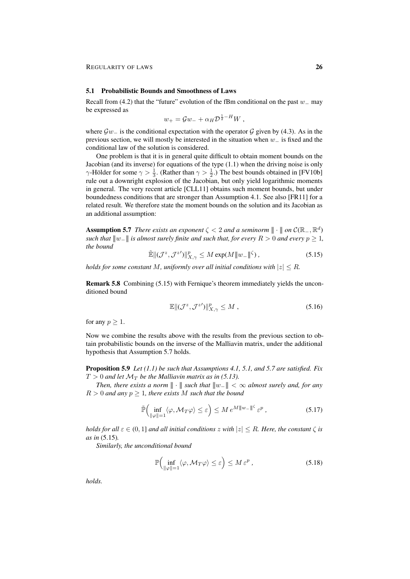#### 5.1 Probabilistic Bounds and Smoothness of Laws

Recall from (4.2) that the "future" evolution of the fBm conditional on the past  $w_$  may be expressed as

$$
w_+ = \mathcal{G}w_- + \alpha_H \mathcal{D}^{\frac{1}{2}-H}W,
$$

where  $\mathcal{G}w_$  is the conditional expectation with the operator  $\mathcal G$  given by (4.3). As in the previous section, we will mostly be interested in the situation when  $w_$  is fixed and the conditional law of the solution is considered.

One problem is that it is in general quite difficult to obtain moment bounds on the Jacobian (and its inverse) for equations of the type (1.1) when the driving noise is only  $\gamma$ -Hölder for some  $\gamma > \frac{1}{3}$ . (Rather than  $\gamma > \frac{1}{2}$ .) The best bounds obtained in [FV10b] rule out a downright explosion of the Jacobian, but only yield logarithmic moments in general. The very recent article [CLL11] obtains such moment bounds, but under boundedness conditions that are stronger than Assumption 4.1. See also [FR11] for a related result. We therefore state the moment bounds on the solution and its Jacobian as an additional assumption:

**Assumption 5.7** *There exists an exponent*  $\zeta < 2$  *and a seminorm*  $\|\cdot\|$  *on*  $C(\mathbb{R}_-, \mathbb{R}^d)$ *such that*  $||w_||$  *is almost surely finite and such that, for every*  $R > 0$  *and every*  $p \geq 1$ *, the bound*

$$
\mathbb{\tilde{E}}\|(\mathcal{J}^z, \mathcal{J}^{z'})\|_{X,\gamma}^p \le M \exp(M\|w_-\|^{\zeta}),\tag{5.15}
$$

*holds for some constant* M, uniformly over all initial conditions with  $|z| \leq R$ .

Remark 5.8 Combining (5.15) with Fernique's theorem immediately yields the unconditioned bound

$$
\mathbb{E}\|(\mathcal{J}^z, \mathcal{J}^{z'})\|_{X,\gamma}^p \le M\,,\tag{5.16}
$$

for any  $p \geq 1$ .

Now we combine the results above with the results from the previous section to obtain probabilistic bounds on the inverse of the Malliavin matrix, under the additional hypothesis that Assumption 5.7 holds.

Proposition 5.9 *Let (1.1) be such that Assumptions 4.1, 5.1, and 5.7 are satisfied. Fix*  $T > 0$  and let  $\mathcal{M}_T$  be the Malliavin matrix as in (5.13).

*Then, there exists a norm*  $\|\cdot\|$  *such that*  $\|w_-\| < \infty$  *almost surely and, for any*  $R > 0$  *and any*  $p \geq 1$ *, there exists* M *such that the bound* 

$$
\tilde{\mathbb{P}}\left(\inf_{\|\varphi\|=1} \langle \varphi, \mathcal{M}_T \varphi \rangle \le \varepsilon\right) \le M \, e^{M |\!|\!| w_- |\!|\!|^{s}} \, \varepsilon^p \,,\tag{5.17}
$$

*holds for all*  $\varepsilon \in (0, 1]$  *and all initial conditions* z with  $|z| \leq R$ *. Here, the constant*  $\zeta$  *is as in* (5.15)*.*

*Similarly, the unconditional bound*

$$
\mathbb{P}\Big(\inf_{\|\varphi\|=1}\langle\varphi,\mathcal{M}_T\varphi\rangle\leq\varepsilon\Big)\leq M\,\varepsilon^p\,,\tag{5.18}
$$

*holds.*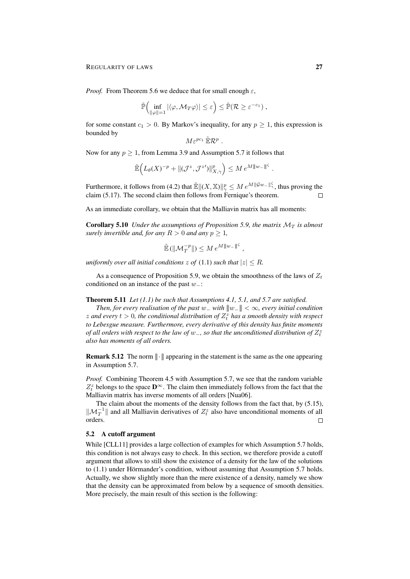*Proof.* From Theorem 5.6 we deduce that for small enough  $\varepsilon$ ,

$$
\widetilde{\mathbb{P}}\left(\inf_{\|\varphi\|=1}|\langle \varphi, \mathcal{M}_T\varphi\rangle| \leq \varepsilon\right) \leq \widetilde{\mathbb{P}}(\mathcal{R} \geq \varepsilon^{-c_1}),
$$

for some constant  $c_1 > 0$ . By Markov's inequality, for any  $p \ge 1$ , this expression is bounded by

$$
M\varepsilon^{pc_1}\,\tilde{\mathbb{E}}\mathcal{R}^p\ .
$$

Now for any  $p \ge 1$ , from Lemma 3.9 and Assumption 5.7 it follows that

$$
\mathbb{\tilde{E}}\Big(L_{\theta}(X)^{-p}+\|(\mathcal{J}^z,\mathcal{J}^z')\|_{X,\gamma}^p\Big)\leq M\,e^{M\|w_-\|^{\zeta}}\;.
$$

Furthermore, it follows from (4.2) that  $\mathbb{E}||(X,\mathbb{X})||_{\gamma}^p \leq M e^{M||\mathcal{G}w-||_{\gamma}^{\zeta}}$ , thus proving the claim (5.17). The second claim then follows from Fernique's theorem.  $\Box$ 

As an immediate corollary, we obtain that the Malliavin matrix has all moments:

**Corollary 5.10** *Under the assumptions of Proposition 5.9, the matrix*  $\mathcal{M}_T$  *is almost surely invertible and, for any*  $R > 0$  *and any*  $p \geq 1$ *,* 

$$
\widetilde{\mathbb{E}}\left(\left\|\mathcal{M}_T^{-p}\right\|\right) \leq M e^{M\|w_-\|^{\zeta}},
$$

*uniformly over all initial conditions*  $z$  *of* (1.1) *such that*  $|z| \leq R$ *.* 

As a consequence of Proposition 5.9, we obtain the smoothness of the laws of  $Z_t$ conditioned on an instance of the past w−:

Theorem 5.11 *Let (1.1) be such that Assumptions 4.1, 5.1, and 5.7 are satisfied.*

*Then, for every realisation of the past* w\_ with  $\|w_-\| < \infty$ *, every initial condition*  $z$  and every  $t > 0$ , the conditional distribution of  $Z_t^z$  has a smooth density with respect *to Lebesgue measure. Furthermore, every derivative of this density has finite moments of all orders with respect to the law of* w\_, so that the unconditioned distribution of  $Z_t^z$ *also has moments of all orders.*

**Remark 5.12** The norm  $\|\cdot\|$  appearing in the statement is the same as the one appearing in Assumption 5.7.

*Proof.* Combining Theorem 4.5 with Assumption 5.7, we see that the random variable  $Z_t^z$  belongs to the space  $\mathbf{D}^{\infty}$ . The claim then immediately follows from the fact that the Malliavin matrix has inverse moments of all orders [Nua06].

The claim about the moments of the density follows from the fact that, by (5.15),  $\|\mathcal{M}_T^{-1}\|$  and all Malliavin derivatives of  $Z_t^z$  also have unconditional moments of all orders.  $\Box$ 

### 5.2 A cutoff argument

While [CLL11] provides a large collection of examples for which Assumption 5.7 holds, this condition is not always easy to check. In this section, we therefore provide a cutoff argument that allows to still show the existence of a density for the law of the solutions to  $(1.1)$  under Hörmander's condition, without assuming that Assumption 5.7 holds. Actually, we show slightly more than the mere existence of a density, namely we show that the density can be approximated from below by a sequence of smooth densities. More precisely, the main result of this section is the following: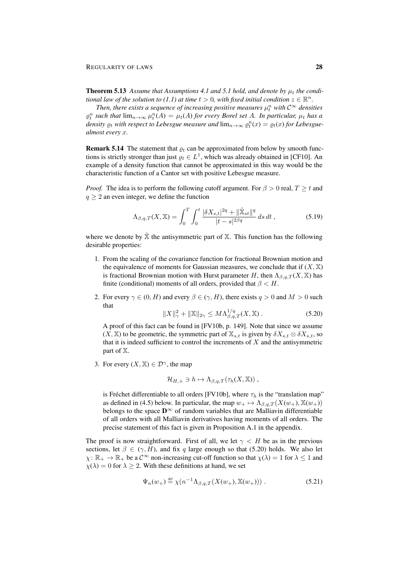**Theorem 5.13** Assume that Assumptions 4.1 and 5.1 hold, and denote by  $\mu_t$  the condi*tional law of the solution to (1.1) at time*  $t > 0$ *, with fixed initial condition*  $z \in \mathbb{R}^n$ .

Then, there exists a sequence of increasing positive measures  $\mu_t^n$  with  $\mathcal{C}^\infty$  densities  $\rho_t^n$  such that  $\lim_{n\to\infty}\mu_t^n(A) = \mu_t(A)$  for every Borel set A. In particular,  $\mu_t$  has a density  $\varrho_t$  with respect to Lebesgue measure and  $\lim_{n\to\infty}\varrho_t^n(x)=\varrho_t(x)$  for Lebesgue*almost every* x*.*

**Remark 5.14** The statement that  $\rho_t$  can be approximated from below by smooth functions is strictly stronger than just  $\varrho_t \in L^1$ , which was already obtained in [CF10]. An example of a density function that cannot be approximated in this way would be the characteristic function of a Cantor set with positive Lebesgue measure.

*Proof.* The idea is to perform the following cutoff argument. For  $\beta > 0$  real,  $T \geq t$  and  $q \geq 2$  an even integer, we define the function

$$
\Lambda_{\beta,q,T}(X,\mathbb{X}) = \int_0^T \int_0^t \frac{|\delta X_{s,t}|^{2q} + ||\tilde{\mathbb{X}}_{st}||^q}{|t-s|^{2\beta q}} ds dt , \qquad (5.19)
$$

where we denote by  $\tilde{\mathbb{X}}$  the antisymmetric part of  $\mathbb{X}$ . This function has the following desirable properties:

- 1. From the scaling of the covariance function for fractional Brownian motion and the equivalence of moments for Gaussian measures, we conclude that if  $(X, \mathbb{X})$ is fractional Brownian motion with Hurst parameter H, then  $\Lambda_{\beta,q,T}(X,\mathbb{X})$  has finite (conditional) moments of all orders, provided that  $\beta < H$ .
- 2. For every  $\gamma \in (0, H)$  and every  $\beta \in (\gamma, H)$ , there exists  $q > 0$  and  $M > 0$  such that

$$
||X||_{\gamma}^{2} + ||\mathbb{X}||_{2\gamma} \le M\Lambda_{\beta,q,T}^{1/q}(X,\mathbb{X}).
$$
\n(5.20)

A proof of this fact can be found in [FV10b, p. 149]. Note that since we assume  $(X, \mathbb{X})$  to be geometric, the symmetric part of  $\mathbb{X}_{s,t}$  is given by  $\delta X_{s,t} \otimes \delta X_{s,t}$ , so that it is indeed sufficient to control the increments of  $X$  and the antisymmetric part of X.

3. For every  $(X, \mathbb{X}) \in \mathcal{D}^{\gamma}$ , the map

$$
\mathcal{H}_{H,+} \ni h \mapsto \Lambda_{\beta,q,T}(\tau_h(X,\mathbb{X})) ,
$$

is Fréchet differentiable to all orders [ $FV10b$ ], where  $\tau_h$  is the "translation map" as defined in (4.5) below. In particular, the map  $w_+ \mapsto \Lambda_{\beta,q,T} (X(w_+), \mathbb{X}(w_+))$ belongs to the space  $\mathbf{D}^{\infty}$  of random variables that are Malliavin differentiable of all orders with all Malliavin derivatives having moments of all orders. The precise statement of this fact is given in Proposition A.1 in the appendix.

The proof is now straightforward. First of all, we let  $\gamma < H$  be as in the previous sections, let  $\beta \in (\gamma, H)$ , and fix q large enough so that (5.20) holds. We also let  $\chi: \mathbb{R}_+ \to \mathbb{R}_+$  be a  $\mathcal{C}^{\infty}$  non-increasing cut-off function so that  $\chi(\lambda) = 1$  for  $\lambda \leq 1$  and  $\chi(\lambda) = 0$  for  $\lambda \geq 2$ . With these definitions at hand, we set

$$
\Psi_n(w_+) \stackrel{\text{def}}{=} \chi(n^{-1} \Lambda_{\beta,q,T}(X(w_+), \mathbb{X}(w_+))) \ . \tag{5.21}
$$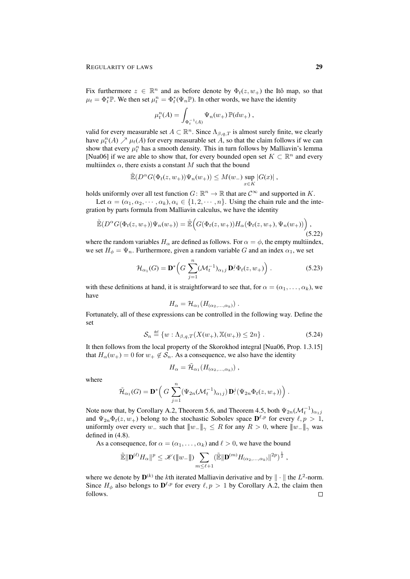Fix furthermore  $z \in \mathbb{R}^n$  and as before denote by  $\Phi_t(z, w_+)$  the Itô map, so that  $\mu_t = \Phi_t^* \mathbb{P}$ . We then set  $\mu_t^n = \Phi_t^* (\Psi_n \mathbb{P})$ . In other words, we have the identity

$$
\mu_t^n(A) = \int_{\Phi_t^{-1}(A)} \Psi_n(w_+) \mathbb{P}(dw_+),
$$

valid for every measurable set  $A \subset \mathbb{R}^n$ . Since  $\Lambda_{\beta,q,T}$  is almost surely finite, we clearly have  $\mu_t^n(A) \nearrow \mu_t(A)$  for every measurable set A, so that the claim follows if we can show that every  $\mu_t^n$  has a smooth density. This in turn follows by Malliavin's lemma [Nua06] if we are able to show that, for every bounded open set  $K \subset \mathbb{R}^n$  and every multiindex  $\alpha$ , there exists a constant M such that the bound

$$
\mathbb{E}(D^{\alpha}G(\Phi_t(z,w_+))\Psi_n(w_+)) \leq M(w_-) \sup_{x \in K} |G(x)|,
$$

holds uniformly over all test function  $G: \mathbb{R}^n \to \mathbb{R}$  that are  $\mathcal{C}^{\infty}$  and supported in K.

Let  $\alpha = (\alpha_1, \alpha_2, \cdots, \alpha_k), \alpha_i \in \{1, 2, \cdots, n\}$ . Using the chain rule and the integration by parts formula from Malliavin calculus, we have the identity

$$
\tilde{\mathbb{E}}(D^{\alpha}G(\Phi_t(z,w_+))\Psi_n(w_+)) = \tilde{\mathbb{E}}\Big(G(\Phi_t(z,w_+))H_{\alpha}(\Phi_t(z,w_+),\Psi_n(w_+))\Big),\tag{5.22}
$$

where the random variables  $H_{\alpha}$  are defined as follows. For  $\alpha = \phi$ , the empty multiindex, we set  $H_{\phi} = \Psi_n$ . Furthermore, given a random variable G and an index  $\alpha_1$ , we set

$$
\mathcal{H}_{\alpha_1}(G) = \mathbf{D}^* \left( G \sum_{j=1}^n (\mathcal{M}_t^{-1})_{\alpha_1 j} \mathbf{D}^j \Phi_t(z, w_+) \right).
$$
 (5.23)

with these definitions at hand, it is straightforward to see that, for  $\alpha = (\alpha_1, \dots, \alpha_k)$ , we have

$$
H_{\alpha} = \mathcal{H}_{\alpha_1}(H_{(\alpha_2,\ldots,\alpha_k)})\ .
$$

Fortunately, all of these expressions can be controlled in the following way. Define the set

$$
\mathcal{S}_n \stackrel{\text{def}}{=} \{ w : \Lambda_{\beta,q,T}(X(w_+), \mathbb{X}(w_+)) \le 2n \} . \tag{5.24}
$$

It then follows from the local property of the Skorokhod integral [Nua06, Prop. 1.3.15] that  $H_{\alpha}(w_{+}) = 0$  for  $w_{+} \notin S_n$ . As a consequence, we also have the identity

$$
H_{\alpha} = \tilde{\mathcal{H}}_{\alpha_1}(H_{(\alpha_2,\ldots,\alpha_k)})\;,
$$

where

$$
\widetilde{\mathcal{H}}_{\alpha_1}(G) = \mathbf{D}^* \left( G \sum_{j=1}^n (\Psi_{2n}(\mathcal{M}_t^{-1})_{\alpha_1 j}) \mathbf{D}^j(\Psi_{2n} \Phi_t(z, w_+)) \right).
$$

Note now that, by Corollary A.2, Theorem 5.6, and Theorem 4.5, both  $\Psi_{2n}(\mathcal{M}_t^{-1})_{\alpha_1 j}$ and  $\Psi_{2n}\Phi_t(z,w_+)$  belong to the stochastic Sobolev space  $\mathbf{D}^{\ell,p}$  for every  $\ell,p>1$ , uniformly over every w\_ such that  $||w_+||_{\gamma} \leq R$  for any  $R > 0$ , where  $||w_-||_{\gamma}$  was defined in (4.8).

As a consequence, for  $\alpha = (\alpha_1, \dots, \alpha_k)$  and  $\ell > 0$ , we have the bound

$$
\widetilde{\mathbb{E}}\|\mathbf{D}^{(\ell)}H_{\alpha}\|^p \leq \mathscr{K}(\|w_{-}\|)\sum_{m\leq \ell+1}(\widetilde{\mathbb{E}}\|\mathbf{D}^{(m)}H_{(\alpha_2,\ldots,\alpha_k)}\|^{2p})^{\frac{1}{2}},
$$

where we denote by  $\mathbf{D}^{(k)}$  the kth iterated Malliavin derivative and by  $\|\cdot\|$  the  $L^2$ -norm. Since  $H_{\phi}$  also belongs to  $\mathbf{D}^{\ell,p}$  for every  $\ell,p > 1$  by Corollary A.2, the claim then follows. $\Box$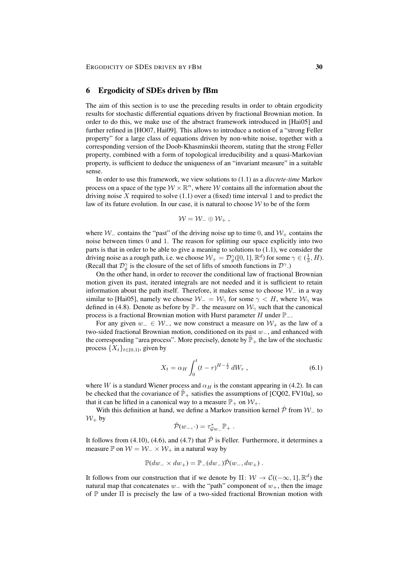## 6 Ergodicity of SDEs driven by fBm

The aim of this section is to use the preceding results in order to obtain ergodicity results for stochastic differential equations driven by fractional Brownian motion. In order to do this, we make use of the abstract framework introduced in [Hai05] and further refined in [HO07, Hai09]. This allows to introduce a notion of a "strong Feller property" for a large class of equations driven by non-white noise, together with a corresponding version of the Doob-Khasminskii theorem, stating that the strong Feller property, combined with a form of topological irreducibility and a quasi-Markovian property, is sufficient to deduce the uniqueness of an "invariant measure" in a suitable sense.

In order to use this framework, we view solutions to (1.1) as a *discrete-time* Markov process on a space of the type  $\mathcal{W} \times \mathbb{R}^n$ , where W contains all the information about the driving noise X required to solve  $(1.1)$  over a (fixed) time interval 1 and to predict the law of its future evolution. In our case, it is natural to choose  $W$  to be of the form

$$
\mathcal{W}=\mathcal{W}_-\oplus \mathcal{W}_+\ ,
$$

where  $W_$  contains the "past" of the driving noise up to time 0, and  $W_+$  contains the noise between times 0 and 1. The reason for splitting our space explicitly into two parts is that in order to be able to give a meaning to solutions to (1.1), we consider the driving noise as a rough path, i.e. we choose  $W_+ = \mathcal{D}_g^{\gamma}([0,1], \mathbb{R}^d)$  for some  $\gamma \in (\frac{1}{3}, H)$ . (Recall that  $\mathcal{D}_{g}^{\gamma}$  is the closure of the set of lifts of smooth functions in  $\mathcal{D}^{\gamma}$ .)

On the other hand, in order to recover the conditional law of fractional Brownian motion given its past, iterated integrals are not needed and it is sufficient to retain information about the path itself. Therefore, it makes sense to choose  $W_$  in a way similar to [Hai05], namely we choose  $W_-\cong W_\gamma$  for some  $\gamma \lt H$ , where  $W_\gamma$  was defined in (4.8). Denote as before by  $\mathbb{P}_-$  the measure on  $\mathcal{W}_\gamma$  such that the canonical process is a fractional Brownian motion with Hurst parameter H under  $\mathbb{P}_-$ .

For any given  $w_-\in W_-\$ , we now construct a measure on  $W_+\$  as the law of a two-sided fractional Brownian motion, conditioned on its past  $w_$ , and enhanced with the corresponding "area process". More precisely, denote by  $\mathbb{P}_+$  the law of the stochastic process  $\{X_t\}_{t\in[0,1]}$ , given by

$$
X_t = \alpha_H \int_0^t (t - r)^{H - \frac{1}{2}} dW_r , \qquad (6.1)
$$

where W is a standard Wiener process and  $\alpha_H$  is the constant appearing in (4.2). In can be checked that the covariance of  $\mathbb{P}_+$  satisfies the assumptions of [CQ02, FV10a], so that it can be lifted in a canonical way to a measure  $\mathbb{P}_+$  on  $\mathcal{W}_+$ .

With this definition at hand, we define a Markov transition kernel  $\hat{\mathcal{P}}$  from  $\mathcal{W}_-$  to  $W_+$  by

$$
\hat{\mathcal{P}}(w_-, \cdot) = \tau_{\mathcal{G}w_-}^* \mathbb{P}_+ \ .
$$

It follows from (4.10), (4.6), and (4.7) that  $\hat{\mathcal{P}}$  is Feller. Furthermore, it determines a measure  $\mathbb P$  on  $\mathcal W = \mathcal W_-\times \mathcal W_+$  in a natural way by

$$
\mathbb{P}(dw_- \times dw_+) = \mathbb{P}_-(dw_-)\hat{\mathcal{P}}(w_-, dw_+).
$$

It follows from our construction that if we denote by  $\Pi: \mathcal{W} \to \mathcal{C}((-\infty, 1], \mathbb{R}^d)$  the natural map that concatenates  $w_$  with the "path" component of  $w_+$ , then the image of P under  $\Pi$  is precisely the law of a two-sided fractional Brownian motion with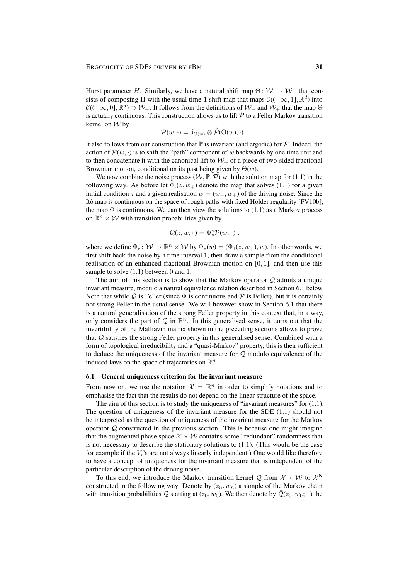Hurst parameter H. Similarly, we have a natural shift map  $\Theta: W \to W_-\$  that consists of composing  $\Pi$  with the usual time-1 shift map that maps  $\mathcal{C}((-\infty, 1], \mathbb{R}^d)$  into  $\mathcal{C}((-\infty,0], \mathbb{R}^d) \supset \mathcal{W}_-$ . It follows from the definitions of  $\mathcal{W}_-$  and  $\mathcal{W}_+$  that the map  $\Theta$ is actually continuous. This construction allows us to lift  $\hat{\mathcal{P}}$  to a Feller Markov transition kernel on W by

$$
\mathcal{P}(w,\cdot)=\delta_{\Theta(w)}\otimes\hat{\mathcal{P}}(\Theta(w),\cdot)\ .
$$

It also follows from our construction that  $\mathbb P$  is invariant (and ergodic) for  $\mathcal P$ . Indeed, the action of  $\mathcal{P}(w, \cdot)$  is to shift the "path" component of w backwards by one time unit and to then concatenate it with the canonical lift to  $W_+$  of a piece of two-sided fractional Brownian motion, conditional on its past being given by  $\Theta(w)$ .

We now combine the noise process  $(W, \mathbb{P}, P)$  with the solution map for (1.1) in the following way. As before let  $\Phi$  ( $z, w_+$ ) denote the map that solves (1.1) for a given initial condition z and a given realisation  $w = (w_-, w_+)$  of the driving noise. Since the Itô map is continuous on the space of rough paths with fixed Hölder regularity  $[ FV10b],$ the map  $\Phi$  is continuous. We can then view the solutions to (1.1) as a Markov process on  $\mathbb{R}^n \times \mathcal{W}$  with transition probabilities given by

$$
\mathcal{Q}(z, w; \cdot) = \Phi_z^* \mathcal{P}(w, \cdot) ,
$$

where we define  $\Phi_z \colon \mathcal{W} \to \mathbb{R}^n \times \mathcal{W}$  by  $\Phi_z(w) = (\Phi_1(z, w_+), w)$ . In other words, we first shift back the noise by a time interval 1, then draw a sample from the conditional realisation of an enhanced fractional Brownian motion on [0, 1], and then use this sample to solve  $(1.1)$  between 0 and 1.

The aim of this section is to show that the Markov operator  $\mathcal Q$  admits a unique invariant measure, modulo a natural equivalence relation described in Section 6.1 below. Note that while Q is Feller (since  $\Phi$  is continuous and P is Feller), but it is certainly not strong Feller in the usual sense. We will however show in Section 6.1 that there is a natural generalisation of the strong Feller property in this context that, in a way, only considers the part of  $Q$  in  $\mathbb{R}^n$ . In this generalised sense, it turns out that the invertibility of the Malliavin matrix shown in the preceding sections allows to prove that  $Q$  satisfies the strong Feller property in this generalised sense. Combined with a form of topological irreducibility and a "quasi-Markov" property, this is then sufficient to deduce the uniqueness of the invariant measure for  $Q$  modulo equivalence of the induced laws on the space of trajectories on  $\mathbb{R}^n$ .

#### 6.1 General uniqueness criterion for the invariant measure

From now on, we use the notation  $\mathcal{X} = \mathbb{R}^n$  in order to simplify notations and to emphasise the fact that the results do not depend on the linear structure of the space.

The aim of this section is to study the uniqueness of "invariant measures" for  $(1.1)$ . The question of uniqueness of the invariant measure for the SDE (1.1) should not be interpreted as the question of uniqueness of the invariant measure for the Markov operator  $Q$  constructed in the previous section. This is because one might imagine that the augmented phase space  $\mathcal{X} \times \mathcal{W}$  contains some "redundant" randomness that is not necessary to describe the stationary solutions to  $(1.1)$ . (This would be the case for example if the  $V_i$ 's are not always linearly independent.) One would like therefore to have a concept of uniqueness for the invariant measure that is independent of the particular description of the driving noise.

To this end, we introduce the Markov transition kernel  $\overline{Q}$  from  $\mathcal{X} \times \mathcal{W}$  to  $\mathcal{X}^N$ constructed in the following way. Denote by  $(z_n, w_n)$  a sample of the Markov chain with transition probabilities Q starting at  $(z_0, w_0)$ . We then denote by  $\overline{Q}(z_0, w_0; \cdot)$  the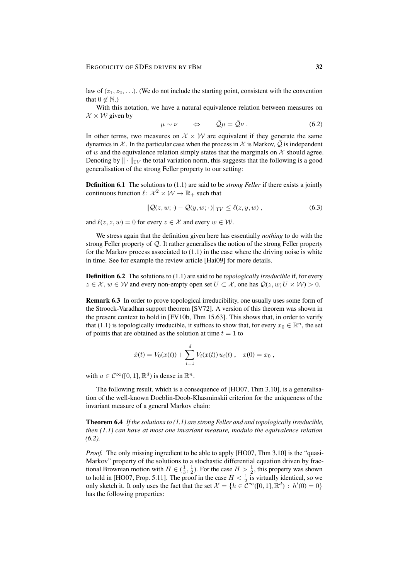law of  $(z_1, z_2, \ldots)$ . (We do not include the starting point, consistent with the convention that  $0 \notin \mathbb{N}$ .)

With this notation, we have a natural equivalence relation between measures on  $\mathcal{X} \times \mathcal{W}$  given by

$$
\mu \sim \nu \qquad \Leftrightarrow \qquad \bar{\mathcal{Q}}\mu = \bar{\mathcal{Q}}\nu \; . \tag{6.2}
$$

In other terms, two measures on  $\mathcal{X} \times \mathcal{W}$  are equivalent if they generate the same dynamics in X. In the particular case when the process in X is Markov,  $Q$  is independent of w and the equivalence relation simply states that the marginals on  $\mathcal X$  should agree. Denoting by  $\|\cdot\|_{TV}$  the total variation norm, this suggests that the following is a good generalisation of the strong Feller property to our setting:

Definition 6.1 The solutions to (1.1) are said to be *strong Feller* if there exists a jointly continuous function  $\ell \colon \mathcal{X}^2 \times \mathcal{W} \to \mathbb{R}_+$  such that

$$
\|\overline{Q}(z,w;\cdot)-\overline{Q}(y,w;\cdot)\|_{\mathrm{TV}} \leq \ell(z,y,w) ,\qquad(6.3)
$$

and  $\ell(z, z, w) = 0$  for every  $z \in \mathcal{X}$  and every  $w \in \mathcal{W}$ .

We stress again that the definition given here has essentially *nothing* to do with the strong Feller property of Q. It rather generalises the notion of the strong Feller property for the Markov process associated to (1.1) in the case where the driving noise is white in time. See for example the review article [Hai09] for more details.

Definition 6.2 The solutions to (1.1) are said to be *topologically irreducible* if, for every  $z \in \mathcal{X}, w \in \mathcal{W}$  and every non-empty open set  $U \subset \mathcal{X}$ , one has  $\mathcal{Q}(z, w; U \times \mathcal{W}) > 0$ .

Remark 6.3 In order to prove topological irreducibility, one usually uses some form of the Stroock-Varadhan support theorem [SV72]. A version of this theorem was shown in the present context to hold in [FV10b, Thm 15.63]. This shows that, in order to verify that (1.1) is topologically irreducible, it suffices to show that, for every  $x_0 \in \mathbb{R}^n$ , the set of points that are obtained as the solution at time  $t = 1$  to

$$
\dot{x}(t) = V_0(x(t)) + \sum_{i=1}^d V_i(x(t)) u_i(t) , \quad x(0) = x_0 ,
$$

with  $u \in C^{\infty}([0, 1], \mathbb{R}^d)$  is dense in  $\mathbb{R}^n$ .

The following result, which is a consequence of [HO07, Thm 3.10], is a generalisation of the well-known Doeblin-Doob-Khasminskii criterion for the uniqueness of the invariant measure of a general Markov chain:

Theorem 6.4 *If the solutions to (1.1) are strong Feller and and topologically irreducible, then (1.1) can have at most one invariant measure, modulo the equivalence relation (6.2).*

*Proof.* The only missing ingredient to be able to apply [HO07, Thm 3.10] is the "quasi-Markov" property of the solutions to a stochastic differential equation driven by fractional Brownian motion with  $H \in (\frac{1}{3}, \frac{1}{2})$ . For the case  $H > \frac{1}{2}$ , this property was shown to hold in [HO07, Prop. 5.11]. The proof in the case  $H < \frac{1}{2}$  is virtually identical, so we only sketch it. It only uses the fact that the set  $\mathcal{X} = \{h \in \mathcal{C}^{\infty}([0,1], \mathbb{R}^d) : h'(0) = 0\}$ has the following properties: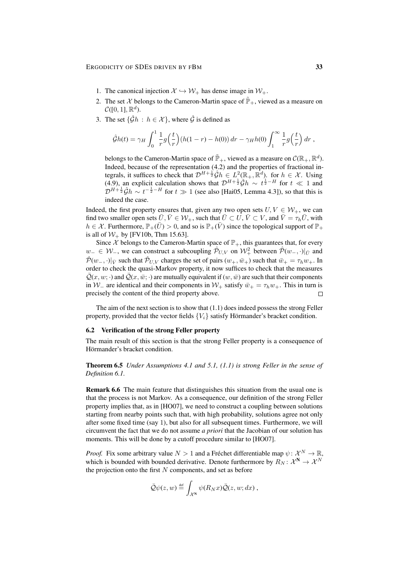- 1. The canonical injection  $\mathcal{X} \hookrightarrow \mathcal{W}_+$  has dense image in  $\mathcal{W}_+$ .
- 2. The set X belongs to the Cameron-Martin space of  $\tilde{\mathbb{P}}_+$ , viewed as a measure on  $\mathcal{C}([0,1],\mathbb{R}^d)$ .
- 3. The set  $\{\hat{G}h : h \in \mathcal{X}\}\)$ , where  $\hat{G}$  is defined as

$$
\hat{\mathcal{G}}h(t) = \gamma_H \int_0^1 \frac{1}{r} g\left(\frac{t}{r}\right) \left(h(1-r) - h(0)\right) dr - \gamma_H h(0) \int_1^\infty \frac{1}{r} g\left(\frac{t}{r}\right) dr,
$$

belongs to the Cameron-Martin space of  $\mathbb{\tilde{P}}_+$ , viewed as a measure on  $\mathcal{C}(\mathbb{R}_+, \mathbb{R}^d)$ . Indeed, because of the representation (4.2) and the properties of fractional integrals, it suffices to check that  $\mathcal{D}^{H+\frac{1}{2}}\hat{G}h \in L^2(\mathbb{R}_+, \mathbb{R}^d)$ . for  $h \in \mathcal{X}$ . Using (4.9), an explicit calculation shows that  $\mathcal{D}^{H+\frac{1}{2}}\hat{G}h \sim t^{\frac{1}{2}-H}$  for  $t \ll 1$  and  $\mathcal{D}^{H+\frac{1}{2}}\hat{\mathcal{G}}h \sim t^{-\frac{1}{2}-H}$  for  $t \gg 1$  (see also [Hai05, Lemma 4.3]), so that this is indeed the case.

Indeed, the first property ensures that, given any two open sets  $U, V \in \mathcal{W}_+$ , we can find two smaller open sets  $\bar{U}, \bar{V} \in \mathcal{W}_+$ , such that  $\bar{U} \subset U, \bar{V} \subset V$ , and  $\bar{V} = \tau_h \bar{U}$ , with  $h \in \mathcal{X}$ . Furthermore,  $\mathbb{P}_+(\bar{U}) > 0$ , and so is  $\mathbb{P}_+(\bar{V})$  since the topological support of  $\mathbb{P}_+$ is all of  $W_+$  by [FV10b, Thm 15.63].

Since X belongs to the Cameron-Martin space of  $\mathbb{P}_+$ , this guarantees that, for every  $w_-\in W_$ , we can construct a subcoupling  $\hat{\mathcal{P}}_{U,V}$  on  $\mathcal{W}_+^2$  between  $\hat{\mathcal{P}}(w_-, \cdot)|_{\bar{U}}$  and  $\hat{\mathcal{P}}(w_-, \cdot)|_{\bar{V}}$  such that  $\hat{\mathcal{P}}_{U,V}$  charges the set of pairs  $(w_+, \bar{w}_+)$  such that  $\bar{w}_+ = \tau_h w_+$ . In order to check the quasi-Markov property, it now suffices to check that the measures  $\overline{Q}(x, w; \cdot)$  and  $\overline{Q}(x, \overline{w}; \cdot)$  are mutually equivalent if  $(w, \overline{w})$  are such that their components in  $W_$  are identical and their components in  $W_+$  satisfy  $\bar{w}_+ = \tau_h w_+$ . This in turn is precisely the content of the third property above.  $\Box$ 

The aim of the next section is to show that (1.1) does indeed possess the strong Feller property, provided that the vector fields  ${V_i}$  satisfy Hörmander's bracket condition.

#### 6.2 Verification of the strong Feller property

The main result of this section is that the strong Feller property is a consequence of Hörmander's bracket condition.

Theorem 6.5 *Under Assumptions 4.1 and 5.1, (1.1) is strong Feller in the sense of Definition 6.1.*

Remark 6.6 The main feature that distinguishes this situation from the usual one is that the process is not Markov. As a consequence, our definition of the strong Feller property implies that, as in [HO07], we need to construct a coupling between solutions starting from nearby points such that, with high probability, solutions agree not only after some fixed time (say 1), but also for all subsequent times. Furthermore, we will circumvent the fact that we do not assume *a priori* that the Jacobian of our solution has moments. This will be done by a cutoff procedure similar to [HO07].

*Proof.* Fix some arbitrary value  $N > 1$  and a Fréchet differentiable map  $\psi \colon \mathcal{X}^N \to \mathbb{R}$ , which is bounded with bounded derivative. Denote furthermore by  $R_N: \mathcal{X}^N \to \mathcal{X}^N$ the projection onto the first  $N$  components, and set as before

$$
\bar{Q}\psi(z,w) \stackrel{\text{def}}{=} \int_{\mathcal{X}^N} \psi(R_N x) \bar{Q}(z,w; dx) ,
$$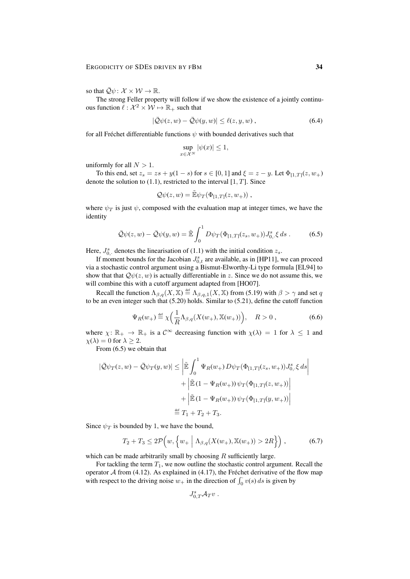so that  $\overline{\mathcal{Q}}\psi: \mathcal{X} \times \mathcal{W} \to \mathbb{R}$ .

The strong Feller property will follow if we show the existence of a jointly continuous function  $\ell : \mathcal{X}^2 \times \mathcal{W} \mapsto \mathbb{R}_+$  such that

$$
|\overline{Q}\psi(z,w) - \overline{Q}\psi(y,w)| \le \ell(z,y,w) , \qquad (6.4)
$$

for all Fréchet differentiable functions  $\psi$  with bounded derivatives such that

$$
\sup_{x \in \mathcal{X}^N} |\psi(x)| \le 1,
$$

uniformly for all  $N > 1$ .

To this end, set  $z_s = zs + y(1 - s)$  for  $s \in [0, 1]$  and  $\xi = z - y$ . Let  $\Phi_{[1, T]}(z, w_+)$ denote the solution to  $(1.1)$ , restricted to the interval  $[1, T]$ . Since

$$
\mathcal{Q}\psi(z,w) = \tilde{\mathbb{E}}\psi_T(\Phi_{[1,T]}(z,w_+)),
$$

where  $\psi_T$  is just  $\psi$ , composed with the evaluation map at integer times, we have the identity

$$
\bar{\mathcal{Q}}\psi(z,w) - \bar{\mathcal{Q}}\psi(y,w) = \tilde{\mathbb{E}}\int_0^1 D\psi_T(\Phi_{[1,T]}(z_s,w_+))J_{0,\cdot}^s\xi ds . \tag{6.5}
$$

Here,  $J_{0}^s$ , denotes the linearisation of (1.1) with the initial condition  $z_s$ .

If moment bounds for the Jacobian  $J_{0,t}^s$  are available, as in [HP11], we can proceed via a stochastic control argument using a Bismut-Elworthy-Li type formula [EL94] to show that that  $\mathcal{Q}\psi(z, w)$  is actually differentiable in z. Since we do not assume this, we will combine this with a cutoff argument adapted from [HO07].

Recall the function  $\Lambda_{\beta,q}(X,\mathbb{X}) \stackrel{\text{def}}{=} \Lambda_{\beta,q,1}(X,\mathbb{X})$  from (5.19) with  $\beta > \gamma$  and set q to be an even integer such that (5.20) holds. Similar to (5.21), define the cutoff function

$$
\Psi_R(w_+) \stackrel{\text{def}}{=} \chi \left( \frac{1}{R} \Lambda_{\beta,q}(X(w_+), \mathbb{X}(w_+)) \right), \quad R > 0 , \tag{6.6}
$$

where  $\chi: \mathbb{R}_+ \to \mathbb{R}_+$  is a  $\mathcal{C}^{\infty}$  decreasing function with  $\chi(\lambda) = 1$  for  $\lambda \leq 1$  and  $\chi(\lambda) = 0$  for  $\lambda \geq 2$ .

From (6.5) we obtain that

$$
|\bar{Q}\psi_T(z,w) - \bar{Q}\psi_T(y,w)| \leq \left| \tilde{\mathbb{E}} \int_0^1 \Psi_R(w_+) D\psi_T(\Phi_{[1,T]}(z_s, w_+)) J_{0,\cdot}^s \xi ds \right|
$$
  
+ 
$$
\left| \tilde{\mathbb{E}} (1 - \Psi_R(w_+)) \psi_T(\Phi_{[1,T]}(z, w_+)) \right|
$$
  
+ 
$$
\left| \tilde{\mathbb{E}} (1 - \Psi_R(w_+)) \psi_T(\Phi_{[1,T]}(y, w_+)) \right|
$$
  

$$
\stackrel{\text{def}}{=} T_1 + T_2 + T_3.
$$

Since  $\psi_T$  is bounded by 1, we have the bound,

$$
T_2 + T_3 \le 2\mathcal{P}\left(w, \left\{w_+ \mid \Lambda_{\beta,q}(X(w_+), \mathbb{X}(w_+)) > 2R\right\}\right),\tag{6.7}
$$

which can be made arbitrarily small by choosing  $R$  sufficiently large.

For tackling the term  $T_1$ , we now outline the stochastic control argument. Recall the operator  $A$  from (4.12). As explained in (4.17), the Fréchet derivative of the flow map with respect to the driving noise  $w_+$  in the direction of  $\int_0^1 v(s) ds$  is given by

$$
J_{0,T}^s \mathcal{A}_T v \ .
$$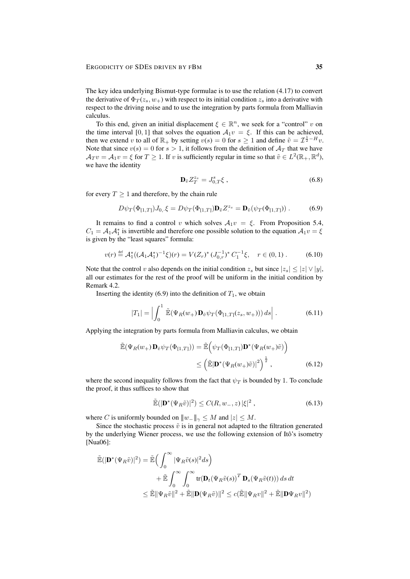The key idea underlying Bismut-type formulae is to use the relation (4.17) to convert the derivative of  $\Phi_T(z_s, w_+)$  with respect to its initial condition  $z_s$  into a derivative with respect to the driving noise and to use the integration by parts formula from Malliavin calculus.

To this end, given an initial displacement  $\xi \in \mathbb{R}^n$ , we seek for a "control" v on the time interval [0, 1] that solves the equation  $A_1v = \xi$ . If this can be achieved, then we extend v to all of  $\mathbb{R}_+$  by setting  $v(s) = 0$  for  $s \ge 1$  and define  $\tilde{v} = \mathcal{I}^{\frac{1}{2} - H} v$ . Note that since  $v(s) = 0$  for  $s > 1$ , it follows from the definition of  $A_T$  that we have  $\mathcal{A}_T v = \mathcal{A}_1 v = \xi$  for  $T \geq 1$ . If v is sufficiently regular in time so that  $\tilde{v} \in L^2(\mathbb{R}_+, \mathbb{R}^d)$ , we have the identity

$$
\mathbf{D}_{\tilde{v}} Z_T^{z_s} = J_{0,T}^s \xi \,, \tag{6.8}
$$

for every  $T \geq 1$  and therefore, by the chain rule

$$
D\psi_T(\Phi_{[1,T]})J_{0,\cdot}\xi = D\psi_T(\Phi_{[1,T]})\mathbf{D}_{\tilde{v}}Z^{\tilde{z}_s} = \mathbf{D}_{\tilde{v}}(\psi_T(\Phi_{[1,T]}))\,. \tag{6.9}
$$

It remains to find a control v which solves  $A_1v = \xi$ . From Proposition 5.4,  $C_1 = A_1 A_1^*$  is invertible and therefore one possible solution to the equation  $A_1 v = \xi$ is given by the "least squares" formula:

$$
v(r) \stackrel{\text{def}}{=} \mathcal{A}_1^*((\mathcal{A}_1 \mathcal{A}_1^*)^{-1} \xi)(r) = V(Z_r)^* (J_{0,r}^{-1})^* C_1^{-1} \xi, \quad r \in (0,1).
$$
 (6.10)

Note that the control v also depends on the initial condition  $z_s$  but since  $|z_s| \le |z| \vee |y|$ , all our estimates for the rest of the proof will be uniform in the initial condition by Remark 4.2.

Inserting the identity (6.9) into the definition of  $T_1$ , we obtain

$$
|T_1| = \left| \int_0^1 \tilde{\mathbb{E}}(\Psi_R(w_+) \mathbf{D}_{\tilde{v}} \psi_T(\Phi_{[1,T]}(z_s, w_+))) ds \right|.
$$
 (6.11)

Applying the integration by parts formula from Malliavin calculus, we obtain

$$
\tilde{\mathbb{E}}(\Psi_R(w_+) \mathbf{D}_{\tilde{v}} \psi_T(\Phi_{[1,T]})) = \tilde{\mathbb{E}}\left(\psi_T(\Phi_{[1,T]}) \mathbf{D}^*(\Psi_R(w_+)\tilde{v})\right)
$$
\n
$$
\leq \left(\tilde{\mathbb{E}}|\mathbf{D}^*(\Psi_R(w_+)\tilde{v})|^2\right)^{\frac{1}{2}}, \tag{6.12}
$$

where the second inequality follows from the fact that  $\psi_T$  is bounded by 1. To conclude the proof, it thus suffices to show that

$$
\widetilde{\mathbb{E}}(|\mathbf{D}^*(\Psi_R \tilde{v})|^2) \le C(R, w_-, z) |\xi|^2 ,\qquad(6.13)
$$

where C is uniformly bounded on  $||w_-\||_{\gamma} < M$  and  $|z| < M$ .

Since the stochastic process  $\tilde{v}$  is in general not adapted to the filtration generated by the underlying Wiener process, we use the following extension of Itô's isometry [Nua06]:

$$
\tilde{\mathbb{E}}(|\mathbf{D}^*(\Psi_R \tilde{v})|^2) = \tilde{\mathbb{E}}\Big(\int_0^\infty |\Psi_R \tilde{v}(s)|^2 ds\Big) \n+ \tilde{\mathbb{E}}\int_0^\infty \int_0^\infty \text{tr}(\mathbf{D}_t (\Psi_R \tilde{v}(s))^T \mathbf{D}_s (\Psi_R \tilde{v}(t))) ds dt \n\leq \tilde{\mathbb{E}} \|\Psi_R \tilde{v}\|^2 + \tilde{\mathbb{E}} \|\mathbf{D}(\Psi_R \tilde{v})\|^2 \leq c(\tilde{\mathbb{E}} \|\Psi_R v\|^2 + \tilde{\mathbb{E}} \|\mathbf{D}\Psi_R v\|^2)
$$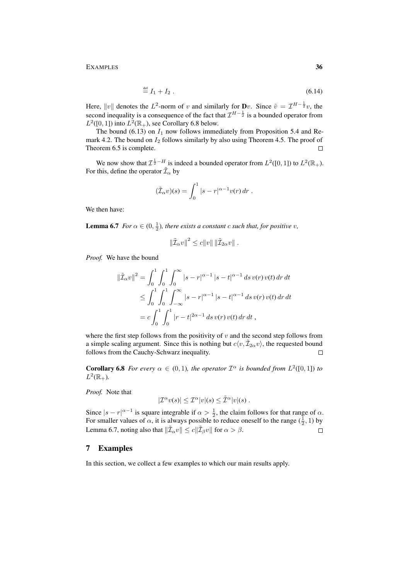EXAMPLES 36

$$
\stackrel{\text{def}}{=} I_1 + I_2 \tag{6.14}
$$

Here,  $||v||$  denotes the  $L^2$ -norm of v and similarly for **D**v. Since  $\tilde{v} = \mathcal{I}^{H-\frac{1}{2}}v$ , the second inequality is a consequence of the fact that  $\mathcal{I}^{H-\frac{1}{2}}$  is a bounded operator from  $L^2([0, 1])$  into  $L^2(\mathbb{R}_+)$ , see Corollary 6.8 below.

The bound (6.13) on  $I_1$  now follows immediately from Proposition 5.4 and Remark 4.2. The bound on  $I_2$  follows similarly by also using Theorem 4.5. The proof of Theorem 6.5 is complete.  $\Box$ 

We now show that  $\mathcal{I}^{\frac{1}{2}-H}$  is indeed a bounded operator from  $L^2([0,1])$  to  $L^2(\mathbb{R}_+)$ . For this, define the operator  $\tilde{\mathcal{I}}_{\alpha}$  by

$$
(\tilde{\mathcal{I}}_{\alpha}v)(s) = \int_0^1 |s - r|^{\alpha - 1} v(r) dr.
$$

We then have:

**Lemma 6.7** *For*  $\alpha \in (0, \frac{1}{2})$ *, there exists a constant c such that, for positive v,* 

$$
\|\tilde{\mathcal{I}}_{\alpha}v\|^2 \leq c\|v\| \|\tilde{\mathcal{I}}_{2\alpha}v\|.
$$

*Proof.* We have the bound

$$
\|\tilde{\mathcal{I}}_{\alpha}v\|^{2} = \int_{0}^{1} \int_{0}^{1} \int_{0}^{\infty} |s - r|^{\alpha - 1} |s - t|^{\alpha - 1} ds v(r) v(t) dr dt
$$
  

$$
\leq \int_{0}^{1} \int_{0}^{1} \int_{-\infty}^{\infty} |s - r|^{\alpha - 1} |s - t|^{\alpha - 1} ds v(r) v(t) dr dt
$$
  

$$
= c \int_{0}^{1} \int_{0}^{1} |r - t|^{2\alpha - 1} ds v(r) v(t) dr dt,
$$

where the first step follows from the positivity of  $v$  and the second step follows from a simple scaling argument. Since this is nothing but  $c\langle v, \tilde{\mathcal{I}}_{2\alpha}v \rangle$ , the requested bound follows from the Cauchy-Schwarz inequality.  $\Box$ 

**Corollary 6.8** *For every*  $\alpha \in (0,1)$ *, the operator*  $\mathcal{I}^{\alpha}$  *is bounded from*  $L^2([0,1])$  *to*  $L^2(\mathbb{R}_+).$ 

*Proof.* Note that

$$
|\mathcal{I}^{\alpha}v(s)| \leq \mathcal{I}^{\alpha}|v|(s) \leq \tilde{\mathcal{I}}^{\alpha}|v|(s) .
$$

Since  $|s - r|^{\alpha - 1}$  is square integrable if  $\alpha > \frac{1}{2}$ , the claim follows for that range of  $\alpha$ . For smaller values of  $\alpha$ , it is always possible to reduce oneself to the range  $(\frac{1}{2}, 1)$  by Lemma 6.7, noting also that  $\|\tilde{\mathcal{I}}_\alpha v\| \leq c\|\tilde{\mathcal{I}}_\beta v\|$  for  $\alpha > \beta$ .  $\Box$ 

## 7 Examples

In this section, we collect a few examples to which our main results apply.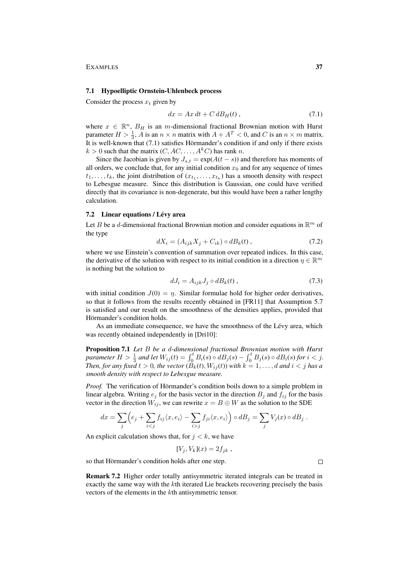EXAMPLES 37

#### 7.1 Hypoelliptic Ornstein-Uhlenbeck process

Consider the process  $x_t$  given by

$$
dx = Ax dt + C dB_H(t), \qquad (7.1)
$$

where  $x \in \mathbb{R}^n$ ,  $B_H$  is an m-dimensional fractional Brownian motion with Hurst parameter  $H > \frac{1}{3}$ , A is an  $n \times n$  matrix with  $A + A^T < 0$ , and C is an  $n \times m$  matrix. It is well-known that (7.1) satisfies Hörmander's condition if and only if there exists  $k > 0$  such that the matrix  $(C, AC, \dots, A^k C)$  has rank n.

Since the Jacobian is given by  $J_{s,t} = \exp(A(t - s))$  and therefore has moments of all orders, we conclude that, for any initial condition  $x_0$  and for any sequence of times  $t_1, \ldots, t_k$ , the joint distribution of  $(x_{t_1}, \ldots, x_{t_k})$  has a smooth density with respect to Lebesgue measure. Since this distribution is Gaussian, one could have verified directly that its covariance is non-degenerate, but this would have been a rather lengthy calculation.

#### 7.2 Linear equations / Lévy area

Let B be a d-dimensional fractional Brownian motion and consider equations in  $\mathbb{R}^m$  of the type

$$
dX_i = (A_{ijk}X_j + C_{ik}) \circ dB_k(t) , \qquad (7.2)
$$

where we use Einstein's convention of summation over repeated indices. In this case, the derivative of the solution with respect to its initial condition in a direction  $\eta \in \mathbb{R}^m$ is nothing but the solution to

$$
dJ_i = A_{ijk}J_j \circ dB_k(t) , \qquad (7.3)
$$

with initial condition  $J(0) = \eta$ . Similar formulae hold for higher order derivatives, so that it follows from the results recently obtained in [FR11] that Assumption 5.7 is satisfied and our result on the smoothness of the densities applies, provided that Hörmander's condition holds.

As an immediate consequence, we have the smoothness of the Lévy area, which was recently obtained independently in [Dri10]:

Proposition 7.1 *Let* B *be a* d*-dimensional fractional Brownian motion with Hurst parameter*  $H > \frac{1}{3}$  *and let*  $W_{ij}(t) = \int_0^t B_i(s) \circ dB_j(s) - \int_0^t B_j(s) \circ dB_i(s)$  for  $i < j$ . *Then, for any fixed*  $t > 0$ *, the vector*  $(B_k(t), W_{ij}(t))$  *with*  $k = 1, \ldots, d$  *and*  $i < j$  *has a smooth density with respect to Lebesgue measure.*

*Proof.* The verification of Hörmander's condition boils down to a simple problem in linear algebra. Writing  $e_i$  for the basis vector in the direction  $B_i$  and  $f_{ij}$  for the basis vector in the direction  $W_{ij}$ , we can rewrite  $x = B \oplus W$  as the solution to the SDE

$$
dx = \sum_{j} \left( e_j + \sum_{i < j} f_{ij} \langle x, e_i \rangle - \sum_{i > j} f_{ji} \langle x, e_i \rangle \right) \circ dB_j = \sum_{j} V_j(x) \circ dB_j.
$$

An explicit calculation shows that, for  $j < k$ , we have

$$
[V_j, V_k](x) = 2f_{jk} ,
$$

so that Hörmander's condition holds after one step.

Remark 7.2 Higher order totally antisymmetric iterated integrals can be treated in exactly the same way with the kth iterated Lie brackets recovering precisely the basis vectors of the elements in the kth antisymmetric tensor.

 $\Box$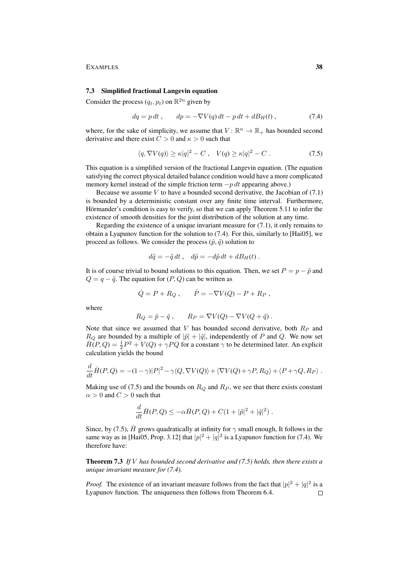#### EXAMPLES 38

#### 7.3 Simplified fractional Langevin equation

Consider the process  $(q_t, p_t)$  on  $\mathbb{R}^{2n}$  given by

$$
dq = p dt, \t dp = -\nabla V(q) dt - p dt + dB_H(t), \t(7.4)
$$

where, for the sake of simplicity, we assume that  $V: \mathbb{R}^n \to \mathbb{R}_+$  has bounded second derivative and there exist  $C > 0$  and  $\kappa > 0$  such that

$$
\langle q, \nabla V(q) \rangle \ge \kappa |q|^2 - C \,, \quad V(q) \ge \kappa |q|^2 - C \,. \tag{7.5}
$$

This equation is a simplified version of the fractional Langevin equation. (The equation satisfying the correct physical detailed balance condition would have a more complicated memory kernel instead of the simple friction term  $-p dt$  appearing above.)

Because we assume  $V$  to have a bounded second derivative, the Jacobian of (7.1) is bounded by a deterministic constant over any finite time interval. Furthermore, Hörmander's condition is easy to verify, so that we can apply Theorem 5.11 to infer the existence of smooth densities for the joint distribution of the solution at any time.

Regarding the existence of a unique invariant measure for  $(7.1)$ , it only remains to obtain a Lyapunov function for the solution to (7.4). For this, similarly to [Hai05], we proceed as follows. We consider the process  $(\tilde{p}, \tilde{q})$  solution to

$$
d\tilde{q} = -\tilde{q} dt , d\tilde{p} = -d\tilde{p} dt + dB_H(t) .
$$

It is of course trivial to bound solutions to this equation. Then, we set  $P = p - \tilde{p}$  and  $Q = q - \tilde{q}$ . The equation for  $(P, Q)$  can be written as

$$
\dot{Q} = P + R_Q , \qquad \dot{P} = -\nabla V(Q) - P + R_P ,
$$

where

$$
R_Q = \tilde{p} - \tilde{q} , \qquad R_P = \nabla V(Q) - \nabla V(Q + \tilde{q}) .
$$

Note that since we assumed that  $V$  has bounded second derivative, both  $R_P$  and  $R_Q$  are bounded by a multiple of  $|\tilde{p}| + |\tilde{q}|$ , independently of P and Q. We now set  $\overline{H}(P,Q) = \frac{1}{2}P^2 + V(Q) + \gamma PQ$  for a constant  $\gamma$  to be determined later. An explicit calculation yields the bound

$$
\frac{d}{dt}\bar{H}(P,Q) = -(1-\gamma)|P|^2 - \gamma\langle Q, \nabla V(Q)\rangle + \langle \nabla V(Q) + \gamma P, R_Q\rangle + \langle P + \gamma Q, R_P\rangle.
$$

Making use of (7.5) and the bounds on  $R_Q$  and  $R_P$ , we see that there exists constant  $\alpha > 0$  and  $C > 0$  such that

$$
\frac{d}{dt}\bar{H}(P,Q) \le -\alpha \bar{H}(P,Q) + C(1+|\tilde{p}|^2 + |\tilde{q}|^2).
$$

Since, by (7.5),  $\bar{H}$  grows quadratically at infinity for  $\gamma$  small enough, It follows in the same way as in [Hai05, Prop. 3.12] that  $|p|^2 + |q|^2$  is a Lyapunov function for (7.4). We therefore have:

Theorem 7.3 *If* V *has bounded second derivative and (7.5) holds, then there exists a unique invariant measure for (7.4).*

*Proof.* The existence of an invariant measure follows from the fact that  $|p|^2 + |q|^2$  is a Lyapunov function. The uniqueness then follows from Theorem 6.4. $\Box$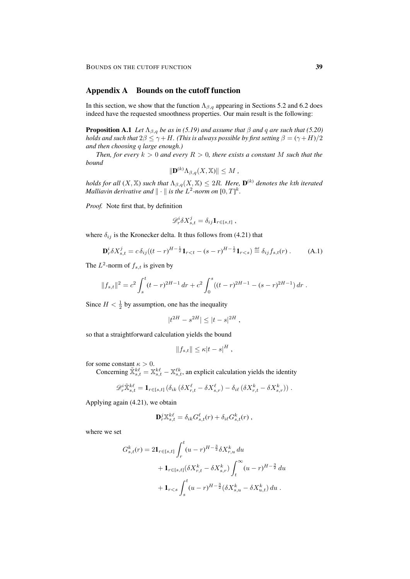## Appendix A Bounds on the cutoff function

In this section, we show that the function  $\Lambda_{\beta,q}$  appearing in Sections 5.2 and 6.2 does indeed have the requested smoothness properties. Our main result is the following:

**Proposition A.1** *Let*  $\Lambda_{\beta,q}$  *be as in (5.19) and assume that*  $\beta$  *and*  $q$  *are such that* (5.20) *holds and such that*  $2\beta \leq \gamma + H$ *. (This is always possible by first setting*  $\beta = (\gamma + H)/2$ *and then choosing* q *large enough.)*

*Then, for every*  $k > 0$  *and every*  $R > 0$ *, there exists a constant* M *such that the bound*

$$
\|\mathbf{D}^{(k)}\Lambda_{\beta,q}(X,\mathbb{X})\| \le M,
$$

 $h$ olds for all  $(X,\mathbb{X})$  such that  $\Lambda_{\beta,q}(X,\mathbb{X})\leq 2R.$  Here,  $\mathbf{D}^{(k)}$  denotes the kth iterated *Malliavin derivative and*  $\|\cdot\|$  *is the L*<sup>2</sup>-norm on  $[0, T]^k$ .

*Proof.* Note first that, by definition

$$
\mathscr{D}_r^i \delta X_{s,t}^j = \delta_{ij} \mathbf{1}_{r \in [s,t]} ,
$$

where  $\delta_{ij}$  is the Kronecker delta. It thus follows from (4.21) that

$$
\mathbf{D}_r^i \delta X_{s,t}^j = c \,\delta_{ij} \big( (t-r)^{H-\frac{1}{2}} \mathbf{1}_{r < t} - (s-r)^{H-\frac{1}{2}} \mathbf{1}_{r < s} \big) \stackrel{\text{def}}{=} \delta_{ij} f_{s,t}(r) \,. \tag{A.1}
$$

The  $L^2$ -norm of  $f_{s,t}$  is given by

$$
||f_{s,t}||^2 = c^2 \int_s^t (t-r)^{2H-1} dr + c^2 \int_0^s ((t-r)^{2H-1} - (s-r)^{2H-1}) dr.
$$

Since  $H < \frac{1}{2}$  by assumption, one has the inequality

$$
|t^{2H}-s^{2H}|\leq |t-s|^{2H}\;,
$$

so that a straightforward calculation yields the bound

$$
||f_{s,t}|| \leq \kappa |t-s|^H,
$$

for some constant  $\kappa > 0$ .

Concerning  $\tilde{X}_{s,t}^{k\ell} = \mathbb{X}_{s,t}^{k\ell} - \mathbb{X}_{s,t}^{\ell k}$ , an explicit calculation yields the identity

$$
\mathscr{D}_{r}^{i}\tilde{\mathbb{X}}_{s,t}^{k\ell} = \mathbf{1}_{r \in [s,t]} \left( \delta_{ik} \left( \delta X_{r,t}^{\ell} - \delta X_{s,r}^{\ell} \right) - \delta_{i\ell} \left( \delta X_{r,t}^{k} - \delta X_{s,r}^{k} \right) \right).
$$

Applying again (4.21), we obtain

$$
\mathbf{D}_r^j \mathbb{X}_{s,t}^{k\ell} = \delta_{ik} G_{s,t}^{\ell}(r) + \delta_{i\ell} G_{s,t}^k(r) ,
$$

where we set

$$
G_{s,t}^{k}(r) = 2\mathbf{1}_{r\in[s,t]}\int_{r}^{t} (u-r)^{H-\frac{3}{2}}\delta X_{r,u}^{k} du
$$
  
+  $\mathbf{1}_{r\in[s,t]}(\delta X_{r,t}^{k} - \delta X_{s,r}^{k}) \int_{t}^{\infty} (u-r)^{H-\frac{3}{2}} du$   
+  $\mathbf{1}_{r.$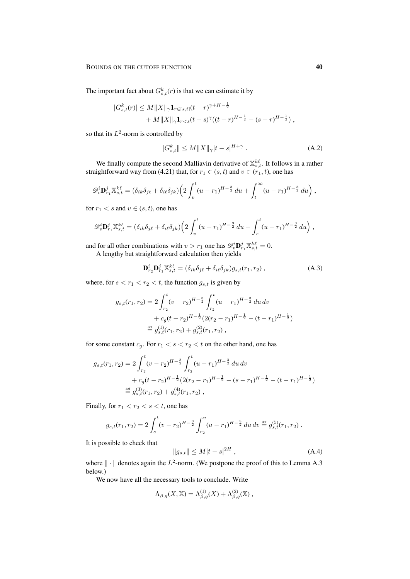The important fact about  $G_{s,t}^k(r)$  is that we can estimate it by

$$
|G_{s,t}^{k}(r)| \leq M ||X||_{\gamma} \mathbf{1}_{r \in [s,t]} (t-r)^{\gamma+H-\frac{1}{2}} + M ||X||_{\gamma} \mathbf{1}_{r < s} (t-s)^{\gamma} ((t-r)^{H-\frac{1}{2}} - (s-r)^{H-\frac{1}{2}}),
$$

so that its  $L^2$ -norm is controlled by

$$
||G_{s,t}^{k}|| \le M||X||_{\gamma}|t-s|^{H+\gamma} . \tag{A.2}
$$

We finally compute the second Malliavin derivative of  $\mathbb{X}_{s,t}^{k\ell}$ . It follows in a rather straightforward way from (4.21) that, for  $r_1 \in (s, t)$  and  $v \in (r_1, t)$ , one has

$$
\mathscr{D}_{v}^{i} \mathbf{D}_{r_{1}}^{j} \mathbb{X}_{s,t}^{k\ell} = (\delta_{ik}\delta_{j\ell} + \delta_{i\ell}\delta_{jk}) \Big( 2\int_{v}^{t} (u-r_{1})^{H-\frac{3}{2}} du + \int_{t}^{\infty} (u-r_{1})^{H-\frac{3}{2}} du \Big),
$$

for  $r_1 < s$  and  $v \in (s, t)$ , one has

$$
\mathscr{D}_{v}^{i} \mathbf{D}_{r_1}^{j} \mathbb{X}_{s,t}^{k\ell} = (\delta_{ik}\delta_{j\ell} + \delta_{i\ell}\delta_{jk}) \Big( 2 \int_{v}^{t} (u-r_1)^{H-\frac{3}{2}} du - \int_{s}^{t} (u-r_1)^{H-\frac{3}{2}} du \Big) ,
$$

and for all other combinations with  $v > r_1$  one has  $\mathscr{D}_{v}^i \mathbf{D}_{r_1}^j \mathbb{X}_{s,t}^{k\ell} = 0$ .

A lengthy but straightforward calculation then yields

$$
\mathbf{D}_{r_2}^i \mathbf{D}_{r_1}^j \mathbb{X}_{s,t}^{k\ell} = (\delta_{ik}\delta_{j\ell} + \delta_{i\ell}\delta_{jk})g_{s,t}(r_1, r_2), \tag{A.3}
$$

where, for  $s < r_1 < r_2 < t$ , the function  $g_{s,t}$  is given by

$$
g_{s,t}(r_1, r_2) = 2 \int_{r_2}^t (v - r_2)^{H - \frac{3}{2}} \int_{r_2}^v (u - r_1)^{H - \frac{3}{2}} du dv
$$
  
+  $c_g(t - r_2)^{H - \frac{1}{2}} (2(r_2 - r_1)^{H - \frac{1}{2}} - (t - r_1)^{H - \frac{1}{2}})$   
 $\stackrel{\text{def}}{=} g_{s,t}^{(1)}(r_1, r_2) + g_{s,t}^{(2)}(r_1, r_2),$ 

for some constant  $c_q$ . For  $r_1 < s < r_2 < t$  on the other hand, one has

$$
g_{s,t}(r_1, r_2) = 2 \int_{r_2}^t (v - r_2)^{H - \frac{3}{2}} \int_{r_2}^v (u - r_1)^{H - \frac{3}{2}} du dv
$$
  
+  $c_g(t - r_2)^{H - \frac{1}{2}} (2(r_2 - r_1)^{H - \frac{1}{2}} - (s - r_1)^{H - \frac{1}{2}} - (t - r_1)^{H - \frac{1}{2}})$   
 $\stackrel{\text{def}}{=} g_{s,t}^{(3)}(r_1, r_2) + g_{s,t}^{(4)}(r_1, r_2),$ 

Finally, for  $r_1 < r_2 < s < t$ , one has

$$
g_{s,t}(r_1,r_2) = 2 \int_s^t (v-r_2)^{H-\frac{3}{2}} \int_{r_2}^v (u-r_1)^{H-\frac{3}{2}} du dv \stackrel{\text{def}}{=} g_{s,t}^{(5)}(r_1,r_2) .
$$

It is possible to check that

$$
||g_{s,t}|| \le M|t-s|^{2H}, \qquad (A.4)
$$

where  $\|\cdot\|$  denotes again the  $L^2$ -norm. (We postpone the proof of this to Lemma A.3 below.)

We now have all the necessary tools to conclude. Write

$$
\Lambda_{\beta,q}(X,\mathbb{X})=\Lambda_{\beta,q}^{(1)}(X)+\Lambda_{\beta,q}^{(2)}(\mathbb{X}),
$$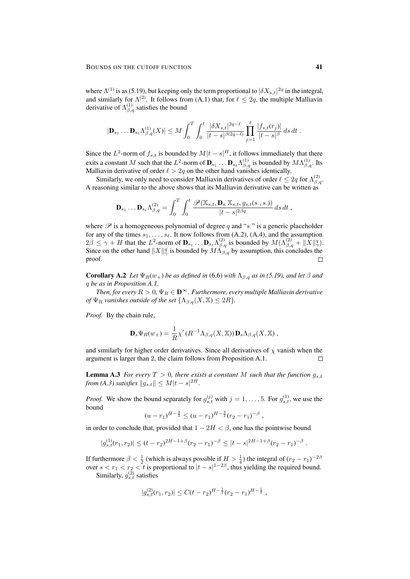where  $\Lambda^{(1)}$  is as (5.19), but keeping only the term proportional to  $|\delta X_{s,t}|^{2q}$  in the integral, and similarly for  $\Lambda^{(2)}$ . It follows from (A.1) that, for  $\ell \leq 2q$ , the multiple Malliavin derivative of  $\Lambda_{\beta,q}^{(1)}$  satisfies the bound

$$
|\mathbf{D}_{s_1} \dots \mathbf{D}_{s_\ell} \Lambda_{\beta,q}^{(1)}(X)| \leq M \int_0^T \int_0^t \frac{|\delta X_{s,t}|^{2q-\ell}}{|t-s|^{\beta(2q-\ell)}} \prod_{j=1}^\ell \frac{|f_{s,t}(r_j)|}{|t-s|^\beta} ds dt.
$$

Since the  $L^2$ -norm of  $f_{s,t}$  is bounded by  $M|t-s|^H$ , it follows immediately that there exits a constant M such that the  $L^2$ -norm of  $\mathbf{D}_{s_1} \dots \mathbf{D}_{s_\ell} \Lambda_{\beta,q}^{(1)}$  is bounded by  $M \Lambda_{\beta,q}^{(1)}$ . Its Malliavin derivative of order  $\ell > 2q$  on the other hand vanishes identically.

Similarly, we only need to consider Malliavin derivatives of order  $\ell \leq 2q$  for  $\Lambda_{\beta,q}^{(2)}$ . A reasoning similar to the above shows that its Malliavin derivative can be written as

$$
\mathbf{D}_{s_1}\ldots\mathbf{D}_{s_\ell}\Lambda_{\beta,q}^{(2)}=\int_0^T\int_0^t\frac{\mathscr{P}(\mathbb{X}_{s,t},\mathbf{D}_{s,\mathbb{X}_{s,t}},g_{s,t}(s.,s.))}{|t-s|^{2\beta q}}\,ds\,dt\;,
$$

where  $\mathscr P$  is a homogeneous polynomial of degree q and "s." is a generic placeholder for any of the times  $s_1, \ldots, s_\ell$ . It now follows from (A.2), (A.4), and the assumption  $2\beta \leq \gamma + H$  that the  $L^2$ -norm of  $\mathbf{D}_{s_1} \dots \mathbf{D}_{s_\ell} \Lambda_{\beta,q}^{(2)}$  is bounded by  $M(\Lambda_{\beta,q}^{(2)} + ||\tilde{X}||_q^q)$ . Since on the other hand  $||X||_{\gamma}^q$  is bounded by  $M\Lambda_{\beta,q}^{\gamma}$  by assumption, this concludes the proof.  $\Box$ 

**Corollary A.2** *Let*  $\Psi_R(w_+)$  *be as defined in* (6.6) *with*  $\Lambda_{\beta,q}$  *as in* (5.19), and let  $\beta$  *and* q *be as in Proposition A.1.*

*Then, for every*  $R > 0$ ,  $\Psi_R \in \mathbf{D}^{\infty}$ . *Furthermore, every multiple Malliavin derivative of*  $\Psi_R$  *vanishes outside of the set*  $\{\Lambda_{\beta,q}(X,\mathbb{X}) \leq 2R\}$ *.* 

*Proof.* By the chain rule,

$$
\mathbf{D}_s \Psi_R(w_+) = \frac{1}{R} \chi'(R^{-1} \Lambda_{\beta,q}(X,\mathbb{X})) \mathbf{D}_s \Lambda_{\beta,q}(X,\mathbb{X}),
$$

and similarly for higher order derivatives. Since all derivatives of  $\chi$  vanish when the argument is larger than 2, the claim follows from Proposition A.1.  $\Box$ 

**Lemma A.3** *For every*  $T > 0$ *, there exists a constant* M *such that the function*  $g_{s,t}$ *from (A.3) satisfies*  $\|g_{s,t}\| \le M|t-s|^{2H}$ .

*Proof.* We show the bound separately for  $g_{s,t}^{(j)}$  with  $j = 1, ..., 5$ . For  $g_{s,t}^{(1)}$ , we use the bound

$$
(u-r_1)^{H-\frac{3}{2}} \le (u-r_1)^{H-\frac{3}{2}}(r_2-r_1)^{-\beta},
$$

in order to conclude that, provided that  $1 - 2H < \beta$ , one has the pointwise bound

$$
|g_{s,t}^{(1)}(r_1,r_2)| \le (t-r_2)^{2H-1+\beta}(r_2-r_1)^{-\beta} \le |t-s|^{2H-1+\beta}(r_2-r_1)^{-\beta}.
$$

If furthermore  $\beta < \frac{1}{2}$  (which is always possible if  $H > \frac{1}{4}$ ) the integral of  $(r_2 - r_1)^{-2\beta}$ over  $s < r_1 < r_2 < t$  is proportional to  $|t - s|^{1-2\beta}$ , thus yielding the required bound.

Similarly,  $g_{s,t}^{(2)}$  satisfies

$$
|g_{s,t}^{(2)}(r_1,r_2)| \leq C(t-r_2)^{H-\frac{1}{2}}(r_2-r_1)^{H-\frac{1}{2}},
$$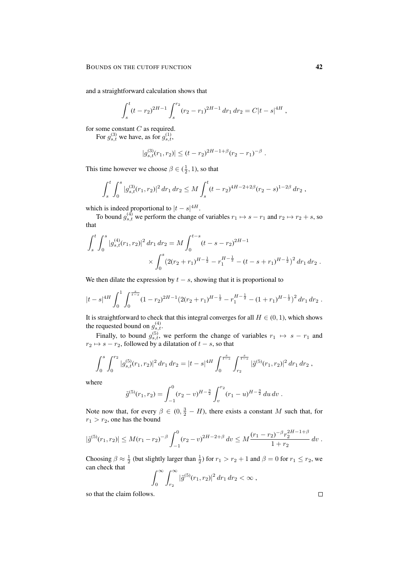and a straightforward calculation shows that

$$
\int_{s}^{t} (t - r_2)^{2H-1} \int_{s}^{r_2} (r_2 - r_1)^{2H-1} dr_1 dr_2 = C|t - s|^{4H},
$$

for some constant  $C$  as required.

For  $g_{s,t}^{(3)}$  we have, as for  $g_{s,t}^{(1)}$ ,

$$
|g_{s,t}^{(3)}(r_1,r_2)| \le (t-r_2)^{2H-1+\beta}(r_2-r_1)^{-\beta}
$$

.

This time however we choose  $\beta \in (\frac{1}{2}, 1)$ , so that

$$
\int_s^t \int_0^s |g_{s,t}^{(3)}(r_1,r_2)|^2 dr_1 dr_2 \leq M \int_s^t (t-r_2)^{4H-2+2\beta} (r_2-s)^{1-2\beta} dr_2,
$$

which is indeed proportional to  $|t-s|^{4H}$ .

To bound  $g_{s,t}^{(4)}$  we perform the change of variables  $r_1 \mapsto s - r_1$  and  $r_2 \mapsto r_2 + s$ , so that

$$
\int_{s}^{t} \int_{0}^{s} |g_{s,t}^{(4)}(r_1, r_2)|^2 dr_1 dr_2 = M \int_{0}^{t-s} (t - s - r_2)^{2H - 1} \times \int_{0}^{s} (2(r_2 + r_1)^{H - \frac{1}{2}} - r_1^{H - \frac{1}{2}} - (t - s + r_1)^{H - \frac{1}{2}})^2 dr_1 dr_2.
$$

We then dilate the expression by  $t - s$ , showing that it is proportional to

$$
|t-s|^{4H} \int_0^1 \int_0^{\frac{s}{t-s}} (1-r_2)^{2H-1} (2(r_2+r_1)^{H-\frac{1}{2}} - r_1^{H-\frac{1}{2}} - (1+r_1)^{H-\frac{1}{2}})^2 dr_1 dr_2.
$$

It is straightforward to check that this integral converges for all  $H \in (0, 1)$ , which shows the requested bound on  $g_{s,t}^{(4)}$ .

Finally, to bound  $g_{s,t}^{(5)}$ , we perform the change of variables  $r_1 \mapsto s - r_1$  and  $r_2 \mapsto s - r_2$ , followed by a dilatation of  $t - s$ , so that

$$
\int_0^s \int_0^{r_2} |g_{s,t}^{(5)}(r_1, r_2)|^2 dr_1 dr_2 = |t - s|^{4H} \int_0^{\frac{s}{t-s}} \int_{r_2}^{\frac{s}{t-s}} |\tilde{g}^{(5)}(r_1, r_2)|^2 dr_1 dr_2,
$$

where

$$
\tilde{g}^{(5)}(r_1, r_2) = \int_{-1}^{0} (r_2 - v)^{H - \frac{3}{2}} \int_{v}^{r_2} (r_1 - u)^{H - \frac{3}{2}} du dv.
$$

Note now that, for every  $\beta \in (0, \frac{3}{2} - H)$ , there exists a constant M such that, for  $r_1 > r_2$ , one has the bound

$$
|\tilde{g}^{(5)}(r_1,r_2)| \leq M(r_1-r_2)^{-\beta} \int_{-1}^0 (r_2-v)^{2H-2+\beta} dv \leq M \frac{(r_1-r_2)^{-\beta} r_2^{2H-1+\beta}}{1+r_2} dv.
$$

Choosing  $\beta \approx \frac{1}{2}$  (but slightly larger than  $\frac{1}{2}$ ) for  $r_1 > r_2 + 1$  and  $\beta = 0$  for  $r_1 \le r_2$ , we can check that

$$
\int_0^\infty \int_{r_2}^\infty |\tilde{g}^{(5)}(r_1,r_2)|^2 \, dr_1 \, dr_2 < \infty \;,
$$

so that the claim follows.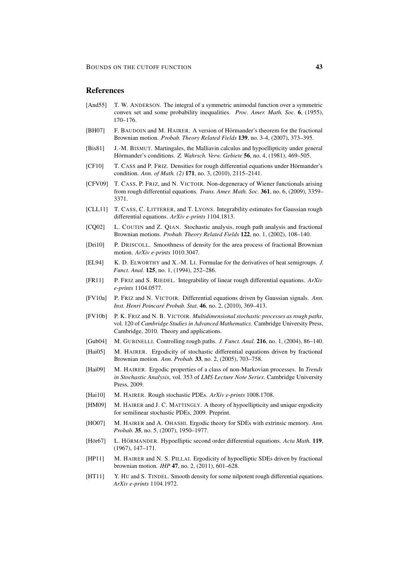## **References**

- [And55] T. W. ANDERSON. The integral of a symmetric unimodal function over a symmetric convex set and some probability inequalities. *Proc. Amer. Math. Soc.* 6, (1955), 170–176.
- [BH07] F. BAUDOIN and M. HAIRER. A version of Hörmander's theorem for the fractional Brownian motion. *Probab. Theory Related Fields* 139, no. 3-4, (2007), 373–395.
- [Bis81] J.-M. BISMUT. Martingales, the Malliavin calculus and hypoellipticity under general Hörmander's conditions. Z. Wahrsch. Verw. Gebiete **56**, no. 4, (1981), 469–505.
- [CF10] T. CASS and P. FRIZ. Densities for rough differential equations under Hörmander's condition. *Ann. of Math. (2)* 171, no. 3, (2010), 2115–2141.
- [CFV09] T. CASS, P. FRIZ, and N. VICTOIR. Non-degeneracy of Wiener functionals arising from rough differential equations. *Trans. Amer. Math. Soc.* 361, no. 6, (2009), 3359– 3371.
- [CLL11] T. CASS, C. LITTERER, and T. LYONS. Integrability estimates for Gaussian rough differential equations. *ArXiv e-prints* 1104.1813.
- [CQ02] L. COUTIN and Z. QIAN. Stochastic analysis, rough path analysis and fractional Brownian motions. *Probab. Theory Related Fields* 122, no. 1, (2002), 108–140.
- [Dri10] P. DRISCOLL. Smoothness of density for the area process of fractional Brownian motion. *ArXiv e-prints* 1010.3047.
- [EL94] K. D. ELWORTHY and X.-M. LI. Formulae for the derivatives of heat semigroups. *J. Funct. Anal.* 125, no. 1, (1994), 252–286.
- [FR11] P. FRIZ and S. RIEDEL. Integrability of linear rough differential equations. *ArXiv e-prints* 1104.0577.
- [FV10a] P. FRIZ and N. VICTOIR. Differential equations driven by Gaussian signals. *Ann. Inst. Henri Poincare Probab. Stat. ´* 46, no. 2, (2010), 369–413.
- [FV10b] P. K. FRIZ and N. B. VICTOIR. *Multidimensional stochastic processes as rough paths*, vol. 120 of *Cambridge Studies in Advanced Mathematics*. Cambridge University Press, Cambridge, 2010. Theory and applications.
- [Gub04] M. GUBINELLI. Controlling rough paths. *J. Funct. Anal.* 216, no. 1, (2004), 86–140.
- [Hai05] M. HAIRER. Ergodicity of stochastic differential equations driven by fractional Brownian motion. *Ann. Probab.* 33, no. 2, (2005), 703–758.
- [Hai09] M. HAIRER. Ergodic properties of a class of non-Markovian processes. In *Trends in Stochastic Analysis*, vol. 353 of *LMS Lecture Note Series*. Cambridge University Press, 2009.
- [Hai10] M. HAIRER. Rough stochastic PDEs. *ArXiv e-prints* 1008.1708.
- [HM09] M. HAIRER and J. C. MATTINGLY. A theory of hypoellipticity and unique ergodicity for semilinear stochastic PDEs, 2009. Preprint.
- [HO07] M. HAIRER and A. OHASHI. Ergodic theory for SDEs with extrinsic memory. *Ann. Probab.* 35, no. 5, (2007), 1950–1977.
- [Hör67] L. HÖRMANDER. Hypoelliptic second order differential equations. *Acta Math.* 119, (1967), 147–171.
- [HP11] M. HAIRER and N. S. PILLAI. Ergodicity of hypoelliptic SDEs driven by fractional brownian motion. *IHP* 47, no. 2, (2011), 601–628.
- [HT11] Y. HU and S. TINDEL. Smooth density for some nilpotent rough differential equations. *ArXiv e-prints* 1104.1972.